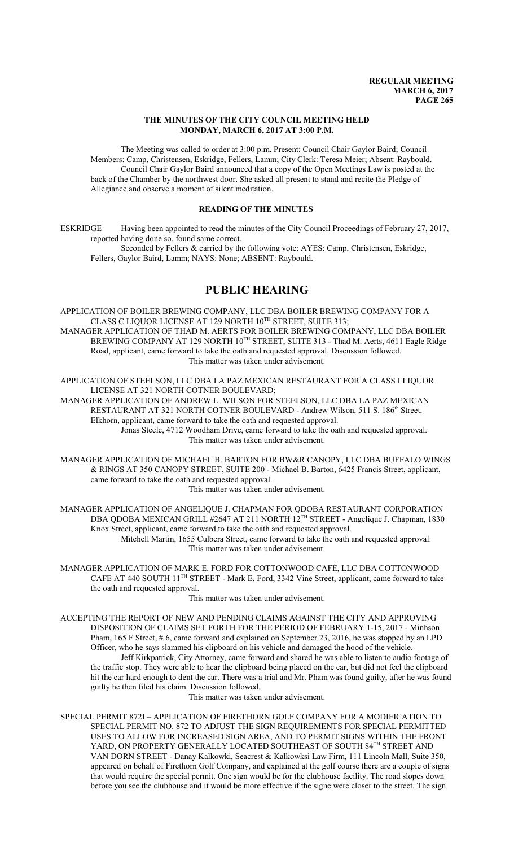### **THE MINUTES OF THE CITY COUNCIL MEETING HELD MONDAY, MARCH 6, 2017 AT 3:00 P.M.**

The Meeting was called to order at 3:00 p.m. Present: Council Chair Gaylor Baird; Council Members: Camp, Christensen, Eskridge, Fellers, Lamm; City Clerk: Teresa Meier; Absent: Raybould. Council Chair Gaylor Baird announced that a copy of the Open Meetings Law is posted at the back of the Chamber by the northwest door. She asked all present to stand and recite the Pledge of Allegiance and observe a moment of silent meditation.

## **READING OF THE MINUTES**

ESKRIDGE Having been appointed to read the minutes of the City Council Proceedings of February 27, 2017, reported having done so, found same correct. Seconded by Fellers & carried by the following vote: AYES: Camp, Christensen, Eskridge,

Fellers, Gaylor Baird, Lamm; NAYS: None; ABSENT: Raybould.

# **PUBLIC HEARING**

APPLICATION OF BOILER BREWING COMPANY, LLC DBA BOILER BREWING COMPANY FOR A CLASS C LIQUOR LICENSE AT 129 NORTH 10 TH STREET, SUITE 313; MANAGER APPLICATION OF THAD M. AERTS FOR BOILER BREWING COMPANY, LLC DBA BOILER

BREWING COMPANY AT 129 NORTH  $10^{\text{TH}}$  STREET, SUITE 313 - Thad M. Aerts, 4611 Eagle Ridge Road, applicant, came forward to take the oath and requested approval. Discussion followed. This matter was taken under advisement.

APPLICATION OF STEELSON, LLC DBA LA PAZ MEXICAN RESTAURANT FOR A CLASS I LIQUOR LICENSE AT 321 NORTH COTNER BOULEVARD;

MANAGER APPLICATION OF ANDREW L. WILSON FOR STEELSON, LLC DBA LA PAZ MEXICAN RESTAURANT AT 321 NORTH COTNER BOULEVARD - Andrew Wilson, 511 S. 186<sup>th</sup> Street, Elkhorn, applicant, came forward to take the oath and requested approval. Jonas Steele, 4712 Woodham Drive, came forward to take the oath and requested approval.

This matter was taken under advisement.

MANAGER APPLICATION OF MICHAEL B. BARTON FOR BW&R CANOPY, LLC DBA BUFFALO WINGS & RINGS AT 350 CANOPY STREET, SUITE 200 - Michael B. Barton, 6425 Francis Street, applicant, came forward to take the oath and requested approval.

This matter was taken under advisement.

MANAGER APPLICATION OF ANGELIQUE J. CHAPMAN FOR QDOBA RESTAURANT CORPORATION DBA QDOBA MEXICAN GRILL #2647 AT 211 NORTH 12<sup>TH</sup> STREET - Angelique J. Chapman, 1830 Knox Street, applicant, came forward to take the oath and requested approval.

Mitchell Martin, 1655 Culbera Street, came forward to take the oath and requested approval. This matter was taken under advisement.

MANAGER APPLICATION OF MARK E. FORD FOR COTTONWOOD CAFÉ, LLC DBA COTTONWOOD CAFÉ AT 440 SOUTH 11 TH STREET - Mark E. Ford, 3342 Vine Street, applicant, came forward to take the oath and requested approval.

This matter was taken under advisement.

ACCEPTING THE REPORT OF NEW AND PENDING CLAIMS AGAINST THE CITY AND APPROVING DISPOSITION OF CLAIMS SET FORTH FOR THE PERIOD OF FEBRUARY 1-15, 2017 - Minhson Pham, 165 F Street, # 6, came forward and explained on September 23, 2016, he was stopped by an LPD Officer, who he says slammed his clipboard on his vehicle and damaged the hood of the vehicle. Jeff Kirkpatrick, City Attorney, came forward and shared he was able to listen to audio footage of

the traffic stop. They were able to hear the clipboard being placed on the car, but did not feel the clipboard hit the car hard enough to dent the car. There was a trial and Mr. Pham was found guilty, after he was found guilty he then filed his claim. Discussion followed.

This matter was taken under advisement.

SPECIAL PERMIT 872I – APPLICATION OF FIRETHORN GOLF COMPANY FOR A MODIFICATION TO SPECIAL PERMIT NO. 872 TO ADJUST THE SIGN REQUIREMENTS FOR SPECIAL PERMITTED USES TO ALLOW FOR INCREASED SIGN AREA, AND TO PERMIT SIGNS WITHIN THE FRONT YARD, ON PROPERTY GENERALLY LOCATED SOUTHEAST OF SOUTH 84<sup>TH</sup> STREET AND VAN DORN STREET - Danay Kalkowki, Seacrest & Kalkowksi Law Firm, 111 Lincoln Mall, Suite 350, appeared on behalf of Firethorn Golf Company, and explained at the golf course there are a couple of signs that would require the special permit. One sign would be for the clubhouse facility. The road slopes down before you see the clubhouse and it would be more effective if the signe were closer to the street. The sign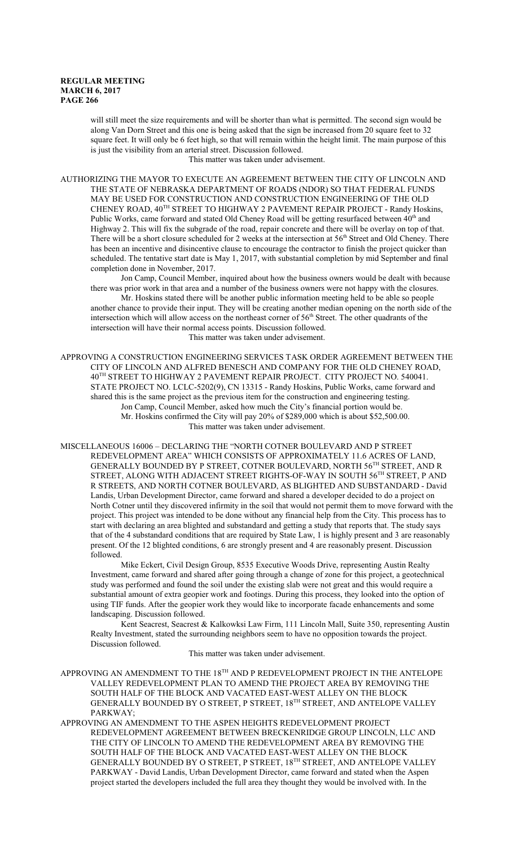will still meet the size requirements and will be shorter than what is permitted. The second sign would be along Van Dorn Street and this one is being asked that the sign be increased from 20 square feet to 32 square feet. It will only be 6 feet high, so that will remain within the height limit. The main purpose of this is just the visibility from an arterial street. Discussion followed.

This matter was taken under advisement.

AUTHORIZING THE MAYOR TO EXECUTE AN AGREEMENT BETWEEN THE CITY OF LINCOLN AND THE STATE OF NEBRASKA DEPARTMENT OF ROADS (NDOR) SO THAT FEDERAL FUNDS MAY BE USED FOR CONSTRUCTION AND CONSTRUCTION ENGINEERING OF THE OLD CHENEY ROAD, 40TH STREET TO HIGHWAY 2 PAVEMENT REPAIR PROJECT - Randy Hoskins, Public Works, came forward and stated Old Cheney Road will be getting resurfaced between 40<sup>th</sup> and Highway 2. This will fix the subgrade of the road, repair concrete and there will be overlay on top of that. There will be a short closure scheduled for 2 weeks at the intersection at 56<sup>th</sup> Street and Old Cheney. There has been an incentive and disincentive clause to encourage the contractor to finish the project quicker than scheduled. The tentative start date is May 1, 2017, with substantial completion by mid September and final completion done in November, 2017.

Jon Camp, Council Member, inquired about how the business owners would be dealt with because there was prior work in that area and a number of the business owners were not happy with the closures.

Mr. Hoskins stated there will be another public information meeting held to be able so people another chance to provide their input. They will be creating another median opening on the north side of the intersection which will allow access on the northeast corner of 56<sup>th</sup> Street. The other quadrants of the intersection will have their normal access points. Discussion followed. This matter was taken under advisement.

APPROVING A CONSTRUCTION ENGINEERING SERVICES TASK ORDER AGREEMENT BETWEEN THE CITY OF LINCOLN AND ALFRED BENESCH AND COMPANY FOR THE OLD CHENEY ROAD, 40 TH STREET TO HIGHWAY 2 PAVEMENT REPAIR PROJECT. CITY PROJECT NO. 540041. STATE PROJECT NO. LCLC-5202(9), CN 13315 - Randy Hoskins, Public Works, came forward and shared this is the same project as the previous item for the construction and engineering testing. Jon Camp, Council Member, asked how much the City's financial portion would be. Mr. Hoskins confirmed the City will pay 20% of \$289,000 which is about \$52,500.00. This matter was taken under advisement.

MISCELLANEOUS 16006 – DECLARING THE "NORTH COTNER BOULEVARD AND P STREET REDEVELOPMENT AREA" WHICH CONSISTS OF APPROXIMATELY 11.6 ACRES OF LAND, GENERALLY BOUNDED BY P STREET, COTNER BOULEVARD, NORTH 56TH STREET, AND R STREET, ALONG WITH ADJACENT STREET RIGHTS-OF-WAY IN SOUTH 56TH STREET, P AND R STREETS, AND NORTH COTNER BOULEVARD, AS BLIGHTED AND SUBSTANDARD - David Landis, Urban Development Director, came forward and shared a developer decided to do a project on North Cotner until they discovered infirmity in the soil that would not permit them to move forward with the project. This project was intended to be done without any financial help from the City. This process has to start with declaring an area blighted and substandard and getting a study that reports that. The study says that of the 4 substandard conditions that are required by State Law, 1 is highly present and 3 are reasonably present. Of the 12 blighted conditions, 6 are strongly present and 4 are reasonably present. Discussion followed.

Mike Eckert, Civil Design Group, 8535 Executive Woods Drive, representing Austin Realty Investment, came forward and shared after going through a change of zone for this project, a geotechnical study was performed and found the soil under the existing slab were not great and this would require a substantial amount of extra geopier work and footings. During this process, they looked into the option of using TIF funds. After the geopier work they would like to incorporate facade enhancements and some landscaping. Discussion followed.

Kent Seacrest, Seacrest & Kalkowksi Law Firm, 111 Lincoln Mall, Suite 350, representing Austin Realty Investment, stated the surrounding neighbors seem to have no opposition towards the project. Discussion followed.

This matter was taken under advisement.

APPROVING AN AMENDMENT TO THE 18TH AND P REDEVELOPMENT PROJECT IN THE ANTELOPE VALLEY REDEVELOPMENT PLAN TO AMEND THE PROJECT AREA BY REMOVING THE SOUTH HALF OF THE BLOCK AND VACATED EAST-WEST ALLEY ON THE BLOCK GENERALLY BOUNDED BY O STREET, P STREET, 18 TH STREET, AND ANTELOPE VALLEY PARKWAY;

APPROVING AN AMENDMENT TO THE ASPEN HEIGHTS REDEVELOPMENT PROJECT REDEVELOPMENT AGREEMENT BETWEEN BRECKENRIDGE GROUP LINCOLN, LLC AND THE CITY OF LINCOLN TO AMEND THE REDEVELOPMENT AREA BY REMOVING THE SOUTH HALF OF THE BLOCK AND VACATED EAST-WEST ALLEY ON THE BLOCK GENERALLY BOUNDED BY O STREET, P STREET, 18 TH STREET, AND ANTELOPE VALLEY PARKWAY - David Landis, Urban Development Director, came forward and stated when the Aspen project started the developers included the full area they thought they would be involved with. In the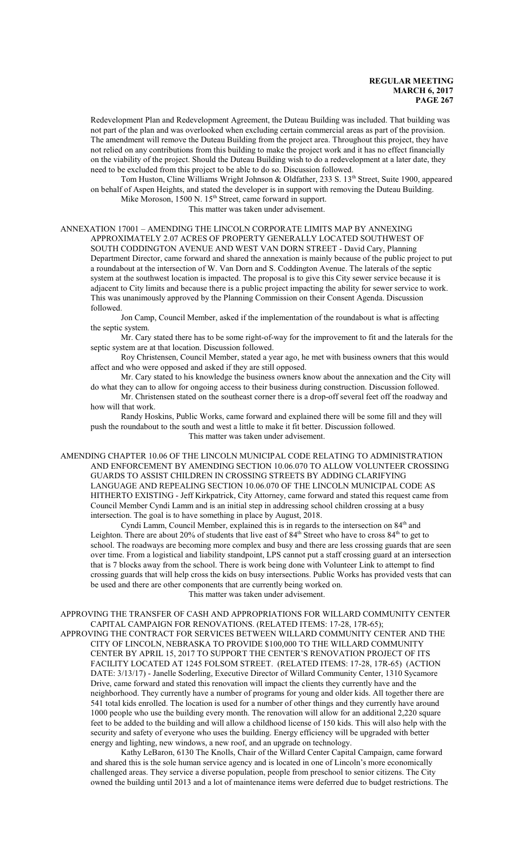Redevelopment Plan and Redevelopment Agreement, the Duteau Building was included. That building was not part of the plan and was overlooked when excluding certain commercial areas as part of the provision. The amendment will remove the Duteau Building from the project area. Throughout this project, they have not relied on any contributions from this building to make the project work and it has no effect financially on the viability of the project. Should the Duteau Building wish to do a redevelopment at a later date, they need to be excluded from this project to be able to do so. Discussion followed.

Tom Huston, Cline Williams Wright Johnson & Oldfather, 233 S. 13<sup>th</sup> Street, Suite 1900, appeared on behalf of Aspen Heights, and stated the developer is in support with removing the Duteau Building. Mike Moroson, 1500 N. 15<sup>th</sup> Street, came forward in support.

This matter was taken under advisement.

### ANNEXATION 17001 – AMENDING THE LINCOLN CORPORATE LIMITS MAP BY ANNEXING APPROXIMATELY 2.07 ACRES OF PROPERTY GENERALLY LOCATED SOUTHWEST OF SOUTH CODDINGTON AVENUE AND WEST VAN DORN STREET - David Cary, Planning Department Director, came forward and shared the annexation is mainly because of the public project to put a roundabout at the intersection of W. Van Dorn and S. Coddington Avenue. The laterals of the septic system at the southwest location is impacted. The proposal is to give this City sewer service because it is adjacent to City limits and because there is a public project impacting the ability for sewer service to work. This was unanimously approved by the Planning Commission on their Consent Agenda. Discussion followed.

Jon Camp, Council Member, asked if the implementation of the roundabout is what is affecting the septic system.

Mr. Cary stated there has to be some right-of-way for the improvement to fit and the laterals for the septic system are at that location. Discussion followed.

Roy Christensen, Council Member, stated a year ago, he met with business owners that this would affect and who were opposed and asked if they are still opposed.

Mr. Cary stated to his knowledge the business owners know about the annexation and the City will do what they can to allow for ongoing access to their business during construction. Discussion followed.

Mr. Christensen stated on the southeast corner there is a drop-off several feet off the roadway and how will that work.

Randy Hoskins, Public Works, came forward and explained there will be some fill and they will push the roundabout to the south and west a little to make it fit better. Discussion followed. This matter was taken under advisement.

AMENDING CHAPTER 10.06 OF THE LINCOLN MUNICIPAL CODE RELATING TO ADMINISTRATION AND ENFORCEMENT BY AMENDING SECTION 10.06.070 TO ALLOW VOLUNTEER CROSSING GUARDS TO ASSIST CHILDREN IN CROSSING STREETS BY ADDING CLARIFYING LANGUAGE AND REPEALING SECTION 10.06.070 OF THE LINCOLN MUNICIPAL CODE AS HITHERTO EXISTING - Jeff Kirkpatrick, City Attorney, came forward and stated this request came from Council Member Cyndi Lamm and is an initial step in addressing school children crossing at a busy intersection. The goal is to have something in place by August, 2018.

Cyndi Lamm, Council Member, explained this is in regards to the intersection on 84<sup>th</sup> and Leighton. There are about 20% of students that live east of 84<sup>th</sup> Street who have to cross 84<sup>th</sup> to get to school. The roadways are becoming more complex and busy and there are less crossing guards that are seen over time. From a logistical and liability standpoint, LPS cannot put a staff crossing guard at an intersection that is 7 blocks away from the school. There is work being done with Volunteer Link to attempt to find crossing guards that will help cross the kids on busy intersections. Public Works has provided vests that can be used and there are other components that are currently being worked on.

### This matter was taken under advisement.

APPROVING THE TRANSFER OF CASH AND APPROPRIATIONS FOR WILLARD COMMUNITY CENTER CAPITAL CAMPAIGN FOR RENOVATIONS. (RELATED ITEMS: 17-28, 17R-65);

APPROVING THE CONTRACT FOR SERVICES BETWEEN WILLARD COMMUNITY CENTER AND THE CITY OF LINCOLN, NEBRASKA TO PROVIDE \$100,000 TO THE WILLARD COMMUNITY CENTER BY APRIL 15, 2017 TO SUPPORT THE CENTER'S RENOVATION PROJECT OF ITS FACILITY LOCATED AT 1245 FOLSOM STREET. (RELATED ITEMS: 17-28, 17R-65) (ACTION DATE: 3/13/17) - Janelle Soderling, Executive Director of Willard Community Center, 1310 Sycamore Drive, came forward and stated this renovation will impact the clients they currently have and the neighborhood. They currently have a number of programs for young and older kids. All together there are 541 total kids enrolled. The location is used for a number of other things and they currently have around 1000 people who use the building every month. The renovation will allow for an additional 2,220 square feet to be added to the building and will allow a childhood license of 150 kids. This will also help with the security and safety of everyone who uses the building. Energy efficiency will be upgraded with better energy and lighting, new windows, a new roof, and an upgrade on technology.

Kathy LeBaron, 6130 The Knolls, Chair of the Willard Center Capital Campaign, came forward and shared this is the sole human service agency and is located in one of Lincoln's more economically challenged areas. They service a diverse population, people from preschool to senior citizens. The City owned the building until 2013 and a lot of maintenance items were deferred due to budget restrictions. The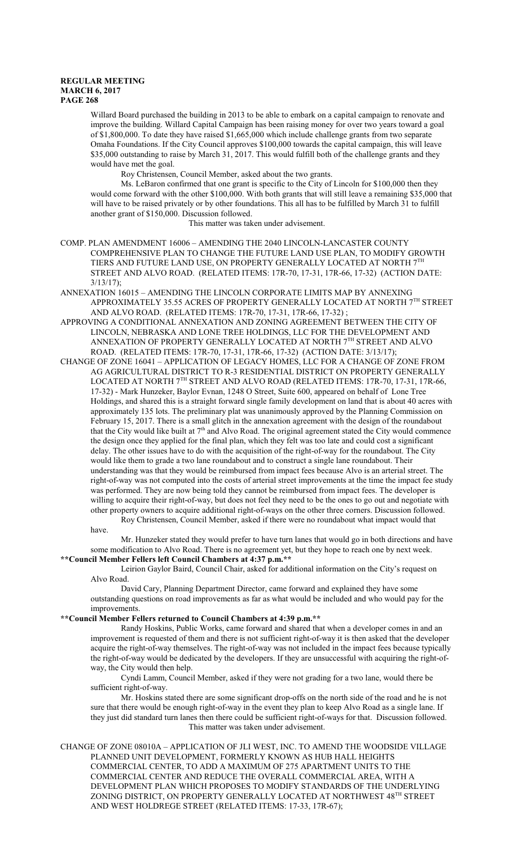Willard Board purchased the building in 2013 to be able to embark on a capital campaign to renovate and improve the building. Willard Capital Campaign has been raising money for over two years toward a goal of \$1,800,000. To date they have raised \$1,665,000 which include challenge grants from two separate Omaha Foundations. If the City Council approves \$100,000 towards the capital campaign, this will leave \$35,000 outstanding to raise by March 31, 2017. This would fulfill both of the challenge grants and they would have met the goal.

Roy Christensen, Council Member, asked about the two grants.

Ms. LeBaron confirmed that one grant is specific to the City of Lincoln for \$100,000 then they would come forward with the other \$100,000. With both grants that will still leave a remaining \$35,000 that will have to be raised privately or by other foundations. This all has to be fulfilled by March 31 to fulfill another grant of \$150,000. Discussion followed.

This matter was taken under advisement.

COMP. PLAN AMENDMENT 16006 – AMENDING THE 2040 LINCOLN-LANCASTER COUNTY COMPREHENSIVE PLAN TO CHANGE THE FUTURE LAND USE PLAN, TO MODIFY GROWTH TIERS AND FUTURE LAND USE, ON PROPERTY GENERALLY LOCATED AT NORTH 7TH STREET AND ALVO ROAD. (RELATED ITEMS: 17R-70, 17-31, 17R-66, 17-32) (ACTION DATE: 3/13/17);

ANNEXATION 16015 – AMENDING THE LINCOLN CORPORATE LIMITS MAP BY ANNEXING APPROXIMATELY 35.55 ACRES OF PROPERTY GENERALLY LOCATED AT NORTH 7<sup>th</sup> STREET AND ALVO ROAD. (RELATED ITEMS: 17R-70, 17-31, 17R-66, 17-32) ;

- APPROVING A CONDITIONAL ANNEXATION AND ZONING AGREEMENT BETWEEN THE CITY OF LINCOLN, NEBRASKA AND LONE TREE HOLDINGS, LLC FOR THE DEVELOPMENT AND ANNEXATION OF PROPERTY GENERALLY LOCATED AT NORTH 7TH STREET AND ALVO ROAD. (RELATED ITEMS: 17R-70, 17-31, 17R-66, 17-32) (ACTION DATE: 3/13/17);
- CHANGE OF ZONE 16041 APPLICATION OF LEGACY HOMES, LLC FOR A CHANGE OF ZONE FROM AG AGRICULTURAL DISTRICT TO R-3 RESIDENTIAL DISTRICT ON PROPERTY GENERALLY LOCATED AT NORTH 7TH STREET AND ALVO ROAD (RELATED ITEMS: 17R-70, 17-31, 17R-66, 17-32) - Mark Hunzeker, Baylor Evnan, 1248 O Street, Suite 600, appeared on behalf of Lone Tree Holdings, and shared this is a straight forward single family development on land that is about 40 acres with approximately 135 lots. The preliminary plat was unanimously approved by the Planning Commission on February 15, 2017. There is a small glitch in the annexation agreement with the design of the roundabout that the City would like built at  $7<sup>th</sup>$  and Alvo Road. The original agreement stated the City would commence the design once they applied for the final plan, which they felt was too late and could cost a significant delay. The other issues have to do with the acquisition of the right-of-way for the roundabout. The City would like them to grade a two lane roundabout and to construct a single lane roundabout. Their understanding was that they would be reimbursed from impact fees because Alvo is an arterial street. The right-of-way was not computed into the costs of arterial street improvements at the time the impact fee study was performed. They are now being told they cannot be reimbursed from impact fees. The developer is willing to acquire their right-of-way, but does not feel they need to be the ones to go out and negotiate with other property owners to acquire additional right-of-ways on the other three corners. Discussion followed.

Roy Christensen, Council Member, asked if there were no roundabout what impact would that have.

Mr. Hunzeker stated they would prefer to have turn lanes that would go in both directions and have some modification to Alvo Road. There is no agreement yet, but they hope to reach one by next week.

# **\*\*Council Member Fellers left Council Chambers at 4:37 p.m.\*\***

Leirion Gaylor Baird, Council Chair, asked for additional information on the City's request on Alvo Road.

David Cary, Planning Department Director, came forward and explained they have some outstanding questions on road improvements as far as what would be included and who would pay for the improvements.

### **\*\*Council Member Fellers returned to Council Chambers at 4:39 p.m.\*\***

Randy Hoskins, Public Works, came forward and shared that when a developer comes in and an improvement is requested of them and there is not sufficient right-of-way it is then asked that the developer acquire the right-of-way themselves. The right-of-way was not included in the impact fees because typically the right-of-way would be dedicated by the developers. If they are unsuccessful with acquiring the right-ofway, the City would then help.

Cyndi Lamm, Council Member, asked if they were not grading for a two lane, would there be sufficient right-of-way.

Mr. Hoskins stated there are some significant drop-offs on the north side of the road and he is not sure that there would be enough right-of-way in the event they plan to keep Alvo Road as a single lane. If they just did standard turn lanes then there could be sufficient right-of-ways for that. Discussion followed. This matter was taken under advisement.

CHANGE OF ZONE 08010A – APPLICATION OF JLI WEST, INC. TO AMEND THE WOODSIDE VILLAGE PLANNED UNIT DEVELOPMENT, FORMERLY KNOWN AS HUB HALL HEIGHTS COMMERCIAL CENTER, TO ADD A MAXIMUM OF 275 APARTMENT UNITS TO THE COMMERCIAL CENTER AND REDUCE THE OVERALL COMMERCIAL AREA, WITH A DEVELOPMENT PLAN WHICH PROPOSES TO MODIFY STANDARDS OF THE UNDERLYING ZONING DISTRICT, ON PROPERTY GENERALLY LOCATED AT NORTHWEST 48<sup>th</sup> STREET AND WEST HOLDREGE STREET (RELATED ITEMS: 17-33, 17R-67);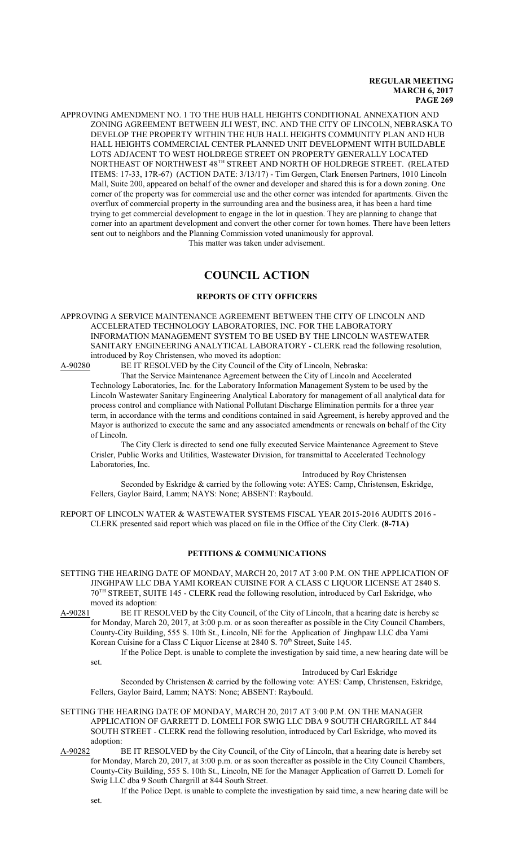APPROVING AMENDMENT NO. 1 TO THE HUB HALL HEIGHTS CONDITIONAL ANNEXATION AND ZONING AGREEMENT BETWEEN JLI WEST, INC. AND THE CITY OF LINCOLN, NEBRASKA TO DEVELOP THE PROPERTY WITHIN THE HUB HALL HEIGHTS COMMUNITY PLAN AND HUB HALL HEIGHTS COMMERCIAL CENTER PLANNED UNIT DEVELOPMENT WITH BUILDABLE LOTS ADJACENT TO WEST HOLDREGE STREET ON PROPERTY GENERALLY LOCATED NORTHEAST OF NORTHWEST  $48^\mathrm{TH}$  STREET AND NORTH OF HOLDREGE STREET. (RELATED ITEMS: 17-33, 17R-67) (ACTION DATE: 3/13/17) - Tim Gergen, Clark Enersen Partners, 1010 Lincoln Mall, Suite 200, appeared on behalf of the owner and developer and shared this is for a down zoning. One corner of the property was for commercial use and the other corner was intended for apartments. Given the overflux of commercial property in the surrounding area and the business area, it has been a hard time trying to get commercial development to engage in the lot in question. They are planning to change that corner into an apartment development and convert the other corner for town homes. There have been letters sent out to neighbors and the Planning Commission voted unanimously for approval.

This matter was taken under advisement.

# **COUNCIL ACTION**

#### **REPORTS OF CITY OFFICERS**

APPROVING A SERVICE MAINTENANCE AGREEMENT BETWEEN THE CITY OF LINCOLN AND ACCELERATED TECHNOLOGY LABORATORIES, INC. FOR THE LABORATORY INFORMATION MANAGEMENT SYSTEM TO BE USED BY THE LINCOLN WASTEWATER SANITARY ENGINEERING ANALYTICAL LABORATORY - CLERK read the following resolution, introduced by Roy Christensen, who moved its adoption:

A-90280 BE IT RESOLVED by the City Council of the City of Lincoln, Nebraska:

That the Service Maintenance Agreement between the City of Lincoln and Accelerated Technology Laboratories, Inc. for the Laboratory Information Management System to be used by the Lincoln Wastewater Sanitary Engineering Analytical Laboratory for management of all analytical data for process control and compliance with National Pollutant Discharge Elimination permits for a three year term, in accordance with the terms and conditions contained in said Agreement, is hereby approved and the Mayor is authorized to execute the same and any associated amendments or renewals on behalf of the City of Lincoln.

The City Clerk is directed to send one fully executed Service Maintenance Agreement to Steve Crisler, Public Works and Utilities, Wastewater Division, for transmittal to Accelerated Technology Laboratories, Inc.

Introduced by Roy Christensen

Seconded by Eskridge & carried by the following vote: AYES: Camp, Christensen, Eskridge, Fellers, Gaylor Baird, Lamm; NAYS: None; ABSENT: Raybould.

REPORT OF LINCOLN WATER & WASTEWATER SYSTEMS FISCAL YEAR 2015-2016 AUDITS 2016 - CLERK presented said report which was placed on file in the Office of the City Clerk. **(8-71A)**

## **PETITIONS & COMMUNICATIONS**

- SETTING THE HEARING DATE OF MONDAY, MARCH 20, 2017 AT 3:00 P.M. ON THE APPLICATION OF JINGHPAW LLC DBA YAMI KOREAN CUISINE FOR A CLASS C LIQUOR LICENSE AT 2840 S. 70 TH STREET, SUITE 145 - CLERK read the following resolution, introduced by Carl Eskridge, who moved its adoption:
- A-90281 BE IT RESOLVED by the City Council, of the City of Lincoln, that a hearing date is hereby se for Monday, March 20, 2017, at 3:00 p.m. or as soon thereafter as possible in the City Council Chambers, County-City Building, 555 S. 10th St., Lincoln, NE for the Application of Jinghpaw LLC dba Yami Korean Cuisine for a Class C Liquor License at 2840 S. 70<sup>th</sup> Street, Suite 145.

If the Police Dept. is unable to complete the investigation by said time, a new hearing date will be set.

Introduced by Carl Eskridge

Seconded by Christensen & carried by the following vote: AYES: Camp, Christensen, Eskridge, Fellers, Gaylor Baird, Lamm; NAYS: None; ABSENT: Raybould.

SETTING THE HEARING DATE OF MONDAY, MARCH 20, 2017 AT 3:00 P.M. ON THE MANAGER APPLICATION OF GARRETT D. LOMELI FOR SWIG LLC DBA 9 SOUTH CHARGRILL AT 844 SOUTH STREET - CLERK read the following resolution, introduced by Carl Eskridge, who moved its adoption:

- A-90282 BE IT RESOLVED by the City Council, of the City of Lincoln, that a hearing date is hereby set for Monday, March 20, 2017, at 3:00 p.m. or as soon thereafter as possible in the City Council Chambers, County-City Building, 555 S. 10th St., Lincoln, NE for the Manager Application of Garrett D. Lomeli for Swig LLC dba 9 South Chargrill at 844 South Street.
	- If the Police Dept. is unable to complete the investigation by said time, a new hearing date will be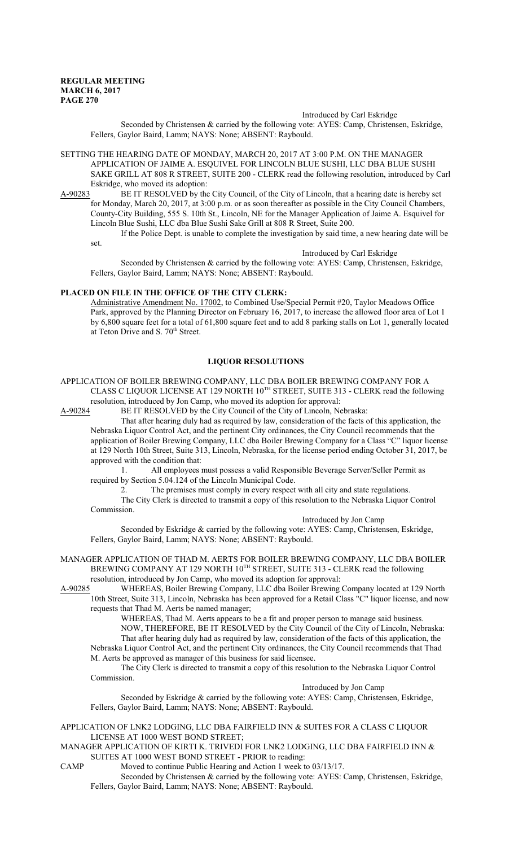#### Introduced by Carl Eskridge

Seconded by Christensen & carried by the following vote: AYES: Camp, Christensen, Eskridge, Fellers, Gaylor Baird, Lamm; NAYS: None; ABSENT: Raybould.

SETTING THE HEARING DATE OF MONDAY, MARCH 20, 2017 AT 3:00 P.M. ON THE MANAGER APPLICATION OF JAIME A. ESQUIVEL FOR LINCOLN BLUE SUSHI, LLC DBA BLUE SUSHI SAKE GRILL AT 808 R STREET, SUITE 200 - CLERK read the following resolution, introduced by Carl Eskridge, who moved its adoption:

A-90283 BE IT RESOLVED by the City Council, of the City of Lincoln, that a hearing date is hereby set for Monday, March 20, 2017, at 3:00 p.m. or as soon thereafter as possible in the City Council Chambers, County-City Building, 555 S. 10th St., Lincoln, NE for the Manager Application of Jaime A. Esquivel for Lincoln Blue Sushi, LLC dba Blue Sushi Sake Grill at 808 R Street, Suite 200.

If the Police Dept. is unable to complete the investigation by said time, a new hearing date will be set.

Introduced by Carl Eskridge

Seconded by Christensen & carried by the following vote: AYES: Camp, Christensen, Eskridge, Fellers, Gaylor Baird, Lamm; NAYS: None; ABSENT: Raybould.

## **PLACED ON FILE IN THE OFFICE OF THE CITY CLERK:**

Administrative Amendment No. 17002, to Combined Use/Special Permit #20, Taylor Meadows Office Park, approved by the Planning Director on February 16, 2017, to increase the allowed floor area of Lot 1 by 6,800 square feet for a total of 61,800 square feet and to add 8 parking stalls on Lot 1, generally located at Teton Drive and S. 70<sup>th</sup> Street.

### **LIQUOR RESOLUTIONS**

APPLICATION OF BOILER BREWING COMPANY, LLC DBA BOILER BREWING COMPANY FOR A CLASS C LIQUOR LICENSE AT 129 NORTH 10<sup>TH</sup> STREET, SUITE 313 - CLERK read the following

resolution, introduced by Jon Camp, who moved its adoption for approval:<br>A-90284 BE IT RESOLVED by the City Council of the City of Lincoln, Ne BE IT RESOLVED by the City Council of the City of Lincoln, Nebraska:

That after hearing duly had as required by law, consideration of the facts of this application, the Nebraska Liquor Control Act, and the pertinent City ordinances, the City Council recommends that the application of Boiler Brewing Company, LLC dba Boiler Brewing Company for a Class "C" liquor license at 129 North 10th Street, Suite 313, Lincoln, Nebraska, for the license period ending October 31, 2017, be approved with the condition that:

1. All employees must possess a valid Responsible Beverage Server/Seller Permit as required by Section 5.04.124 of the Lincoln Municipal Code.

2. The premises must comply in every respect with all city and state regulations.

The City Clerk is directed to transmit a copy of this resolution to the Nebraska Liquor Control Commission.

Introduced by Jon Camp

Seconded by Eskridge & carried by the following vote: AYES: Camp, Christensen, Eskridge, Fellers, Gaylor Baird, Lamm; NAYS: None; ABSENT: Raybould.

MANAGER APPLICATION OF THAD M. AERTS FOR BOILER BREWING COMPANY, LLC DBA BOILER BREWING COMPANY AT 129 NORTH 10<sup>TH</sup> STREET, SUITE 313 - CLERK read the following resolution, introduced by Jon Camp, who moved its adoption for approval:

A-90285 WHEREAS, Boiler Brewing Company, LLC dba Boiler Brewing Company located at 129 North 10th Street, Suite 313, Lincoln, Nebraska has been approved for a Retail Class "C" liquor license, and now requests that Thad M. Aerts be named manager;

WHEREAS, Thad M. Aerts appears to be a fit and proper person to manage said business. NOW, THEREFORE, BE IT RESOLVED by the City Council of the City of Lincoln, Nebraska: That after hearing duly had as required by law, consideration of the facts of this application, the Nebraska Liquor Control Act, and the pertinent City ordinances, the City Council recommends that Thad M. Aerts be approved as manager of this business for said licensee.

The City Clerk is directed to transmit a copy of this resolution to the Nebraska Liquor Control Commission.

Introduced by Jon Camp

Seconded by Eskridge & carried by the following vote: AYES: Camp, Christensen, Eskridge, Fellers, Gaylor Baird, Lamm; NAYS: None; ABSENT: Raybould.

APPLICATION OF LNK2 LODGING, LLC DBA FAIRFIELD INN & SUITES FOR A CLASS C LIQUOR LICENSE AT 1000 WEST BOND STREET;

MANAGER APPLICATION OF KIRTI K. TRIVEDI FOR LNK2 LODGING, LLC DBA FAIRFIELD INN  $\&$ SUITES AT 1000 WEST BOND STREET - PRIOR to reading:

CAMP Moved to continue Public Hearing and Action 1 week to 03/13/17.

Seconded by Christensen & carried by the following vote: AYES: Camp, Christensen, Eskridge, Fellers, Gaylor Baird, Lamm; NAYS: None; ABSENT: Raybould.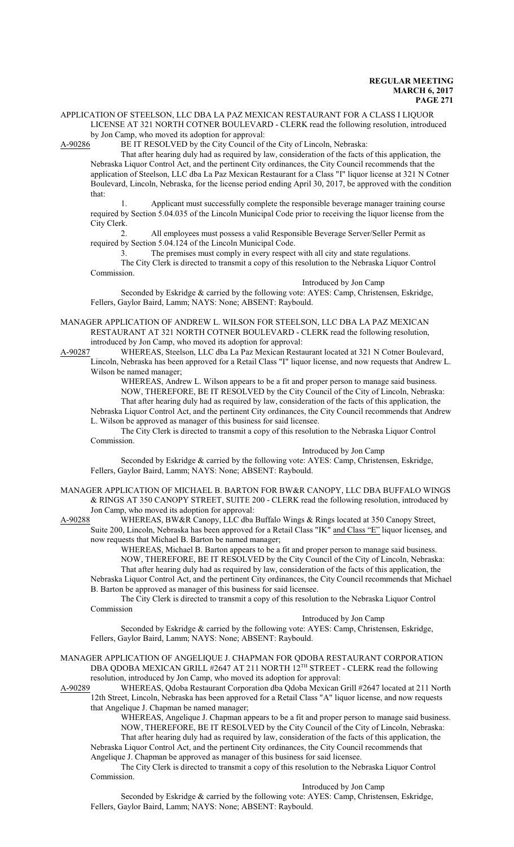### APPLICATION OF STEELSON, LLC DBA LA PAZ MEXICAN RESTAURANT FOR A CLASS I LIQUOR LICENSE AT 321 NORTH COTNER BOULEVARD - CLERK read the following resolution, introduced by Jon Camp, who moved its adoption for approval:

A-90286 BE IT RESOLVED by the City Council of the City of Lincoln, Nebraska:

That after hearing duly had as required by law, consideration of the facts of this application, the Nebraska Liquor Control Act, and the pertinent City ordinances, the City Council recommends that the application of Steelson, LLC dba La Paz Mexican Restaurant for a Class "I" liquor license at 321 N Cotner Boulevard, Lincoln, Nebraska, for the license period ending April 30, 2017, be approved with the condition that:

1. Applicant must successfully complete the responsible beverage manager training course required by Section 5.04.035 of the Lincoln Municipal Code prior to receiving the liquor license from the City Clerk.

2. All employees must possess a valid Responsible Beverage Server/Seller Permit as required by Section 5.04.124 of the Lincoln Municipal Code.

3. The premises must comply in every respect with all city and state regulations. The City Clerk is directed to transmit a copy of this resolution to the Nebraska Liquor Control Commission.

Introduced by Jon Camp

Seconded by Eskridge & carried by the following vote: AYES: Camp, Christensen, Eskridge, Fellers, Gaylor Baird, Lamm; NAYS: None; ABSENT: Raybould.

MANAGER APPLICATION OF ANDREW L. WILSON FOR STEELSON, LLC DBA LA PAZ MEXICAN RESTAURANT AT 321 NORTH COTNER BOULEVARD - CLERK read the following resolution, introduced by Jon Camp, who moved its adoption for approval:

A-90287 WHEREAS, Steelson, LLC dba La Paz Mexican Restaurant located at 321 N Cotner Boulevard, Lincoln, Nebraska has been approved for a Retail Class "I" liquor license, and now requests that Andrew L. Wilson be named manager;

WHEREAS, Andrew L. Wilson appears to be a fit and proper person to manage said business. NOW, THEREFORE, BE IT RESOLVED by the City Council of the City of Lincoln, Nebraska: That after hearing duly had as required by law, consideration of the facts of this application, the Nebraska Liquor Control Act, and the pertinent City ordinances, the City Council recommends that Andrew L. Wilson be approved as manager of this business for said licensee.

The City Clerk is directed to transmit a copy of this resolution to the Nebraska Liquor Control Commission.

Introduced by Jon Camp

Seconded by Eskridge & carried by the following vote: AYES: Camp, Christensen, Eskridge, Fellers, Gaylor Baird, Lamm; NAYS: None; ABSENT: Raybould.

MANAGER APPLICATION OF MICHAEL B. BARTON FOR BW&R CANOPY, LLC DBA BUFFALO WINGS & RINGS AT 350 CANOPY STREET, SUITE 200 - CLERK read the following resolution, introduced by Jon Camp, who moved its adoption for approval:

A-90288 WHEREAS, BW&R Canopy, LLC dba Buffalo Wings & Rings located at 350 Canopy Street, Suite 200, Lincoln, Nebraska has been approved for a Retail Class "IK" and Class "E" liquor licenses, and now requests that Michael B. Barton be named manager;

WHEREAS, Michael B. Barton appears to be a fit and proper person to manage said business. NOW, THEREFORE, BE IT RESOLVED by the City Council of the City of Lincoln, Nebraska: That after hearing duly had as required by law, consideration of the facts of this application, the

Nebraska Liquor Control Act, and the pertinent City ordinances, the City Council recommends that Michael B. Barton be approved as manager of this business for said licensee.

The City Clerk is directed to transmit a copy of this resolution to the Nebraska Liquor Control Commission

### Introduced by Jon Camp

Seconded by Eskridge & carried by the following vote: AYES: Camp, Christensen, Eskridge, Fellers, Gaylor Baird, Lamm; NAYS: None; ABSENT: Raybould.

#### MANAGER APPLICATION OF ANGELIQUE J. CHAPMAN FOR QDOBA RESTAURANT CORPORATION DBA QDOBA MEXICAN GRILL #2647 AT 211 NORTH 12<sup>TH</sup> STREET - CLERK read the following resolution, introduced by Jon Camp, who moved its adoption for approval:

A-90289 WHEREAS, Qdoba Restaurant Corporation dba Qdoba Mexican Grill #2647 located at 211 North 12th Street, Lincoln, Nebraska has been approved for a Retail Class "A" liquor license, and now requests that Angelique J. Chapman be named manager;

WHEREAS, Angelique J. Chapman appears to be a fit and proper person to manage said business. NOW, THEREFORE, BE IT RESOLVED by the City Council of the City of Lincoln, Nebraska: That after hearing duly had as required by law, consideration of the facts of this application, the Nebraska Liquor Control Act, and the pertinent City ordinances, the City Council recommends that Angelique J. Chapman be approved as manager of this business for said licensee.

The City Clerk is directed to transmit a copy of this resolution to the Nebraska Liquor Control Commission.

Introduced by Jon Camp

Seconded by Eskridge & carried by the following vote: AYES: Camp, Christensen, Eskridge, Fellers, Gaylor Baird, Lamm; NAYS: None; ABSENT: Raybould.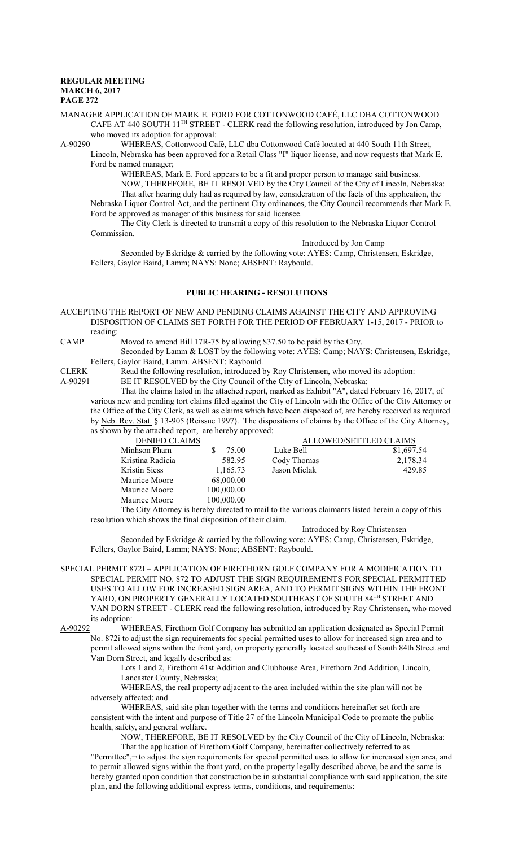MANAGER APPLICATION OF MARK E. FORD FOR COTTONWOOD CAFÉ, LLC DBA COTTONWOOD CAFÉ AT 440 SOUTH 11<sup>TH</sup> STREET - CLERK read the following resolution, introduced by Jon Camp, who moved its adoption for approval:

A-90290 WHEREAS, Cottonwood Café, LLC dba Cottonwood Café located at 440 South 11th Street,

Lincoln, Nebraska has been approved for a Retail Class "I" liquor license, and now requests that Mark E. Ford be named manager;

WHEREAS, Mark E. Ford appears to be a fit and proper person to manage said business. NOW, THEREFORE, BE IT RESOLVED by the City Council of the City of Lincoln, Nebraska: That after hearing duly had as required by law, consideration of the facts of this application, the Nebraska Liquor Control Act, and the pertinent City ordinances, the City Council recommends that Mark E. Ford be approved as manager of this business for said licensee.

The City Clerk is directed to transmit a copy of this resolution to the Nebraska Liquor Control Commission.

Introduced by Jon Camp

Seconded by Eskridge & carried by the following vote: AYES: Camp, Christensen, Eskridge, Fellers, Gaylor Baird, Lamm; NAYS: None; ABSENT: Raybould.

### **PUBLIC HEARING - RESOLUTIONS**

ACCEPTING THE REPORT OF NEW AND PENDING CLAIMS AGAINST THE CITY AND APPROVING DISPOSITION OF CLAIMS SET FORTH FOR THE PERIOD OF FEBRUARY 1-15, 2017 - PRIOR to reading:

CAMP Moved to amend Bill 17R-75 by allowing \$37.50 to be paid by the City.

Seconded by Lamm & LOST by the following vote: AYES: Camp; NAYS: Christensen, Eskridge, Fellers, Gaylor Baird, Lamm. ABSENT: Raybould.

CLERK Read the following resolution, introduced by Roy Christensen, who moved its adoption:<br>A-90291 BE IT RESOLVED by the City Council of the City of Lincoln, Nebraska:

BE IT RESOLVED by the City Council of the City of Lincoln, Nebraska:

That the claims listed in the attached report, marked as Exhibit "A", dated February 16, 2017, of various new and pending tort claims filed against the City of Lincoln with the Office of the City Attorney or the Office of the City Clerk, as well as claims which have been disposed of, are hereby received as required by Neb. Rev. Stat. § 13-905 (Reissue 1997). The dispositions of claims by the Office of the City Attorney, as shown by the attached report, are hereby approved:

| <b>DENIED CLAIMS</b> |            | <b>ALLOWED/SETTLED CLAIMS</b>                                                                |            |
|----------------------|------------|----------------------------------------------------------------------------------------------|------------|
| Minhson Pham         | 75.00      | Luke Bell                                                                                    | \$1,697.54 |
| Kristina Radicia     | 582.95     | Cody Thomas                                                                                  | 2,178.34   |
| <b>Kristin Siess</b> | 1,165.73   | Jason Mielak                                                                                 | 429.85     |
| Maurice Moore        | 68,000.00  |                                                                                              |            |
| Maurice Moore        | 100,000.00 |                                                                                              |            |
| Maurice Moore        | 100,000.00 |                                                                                              |            |
|                      |            | The City Attorney is hereby directed to mail to the various claimants listed began a conv of |            |

The City Attorney is hereby directed to mail to the various claimants listed herein a copy of this resolution which shows the final disposition of their claim.

Introduced by Roy Christensen

Seconded by Eskridge & carried by the following vote: AYES: Camp, Christensen, Eskridge, Fellers, Gaylor Baird, Lamm; NAYS: None; ABSENT: Raybould.

SPECIAL PERMIT 872I – APPLICATION OF FIRETHORN GOLF COMPANY FOR A MODIFICATION TO SPECIAL PERMIT NO. 872 TO ADJUST THE SIGN REQUIREMENTS FOR SPECIAL PERMITTED USES TO ALLOW FOR INCREASED SIGN AREA, AND TO PERMIT SIGNS WITHIN THE FRONT YARD, ON PROPERTY GENERALLY LOCATED SOUTHEAST OF SOUTH 84TH STREET AND VAN DORN STREET - CLERK read the following resolution, introduced by Roy Christensen, who moved its adoption:

A-90292 WHEREAS, Firethorn Golf Company has submitted an application designated as Special Permit No. 872i to adjust the sign requirements for special permitted uses to allow for increased sign area and to permit allowed signs within the front yard, on property generally located southeast of South 84th Street and Van Dorn Street, and legally described as:

> Lots 1 and 2, Firethorn 41st Addition and Clubhouse Area, Firethorn 2nd Addition, Lincoln, Lancaster County, Nebraska;

WHEREAS, the real property adjacent to the area included within the site plan will not be adversely affected; and

WHEREAS, said site plan together with the terms and conditions hereinafter set forth are consistent with the intent and purpose of Title 27 of the Lincoln Municipal Code to promote the public health, safety, and general welfare.

NOW, THEREFORE, BE IT RESOLVED by the City Council of the City of Lincoln, Nebraska: That the application of Firethorn Golf Company, hereinafter collectively referred to as

"Permittee",¬ to adjust the sign requirements for special permitted uses to allow for increased sign area, and to permit allowed signs within the front yard, on the property legally described above, be and the same is hereby granted upon condition that construction be in substantial compliance with said application, the site plan, and the following additional express terms, conditions, and requirements: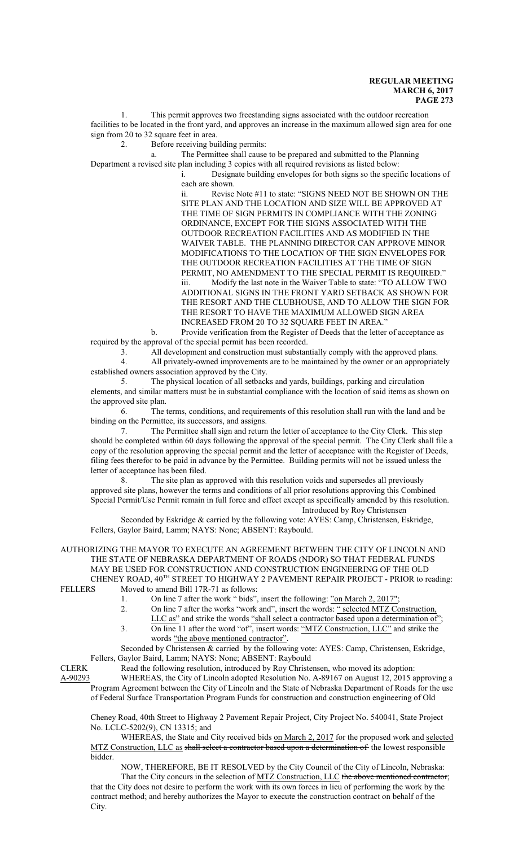1. This permit approves two freestanding signs associated with the outdoor recreation facilities to be located in the front yard, and approves an increase in the maximum allowed sign area for one sign from 20 to 32 square feet in area.

2. Before receiving building permits:

a. The Permittee shall cause to be prepared and submitted to the Planning Department a revised site plan including 3 copies with all required revisions as listed below:

i. Designate building envelopes for both signs so the specific locations of each are shown.

ii. Revise Note #11 to state: "SIGNS NEED NOT BE SHOWN ON THE SITE PLAN AND THE LOCATION AND SIZE WILL BE APPROVED AT THE TIME OF SIGN PERMITS IN COMPLIANCE WITH THE ZONING ORDINANCE, EXCEPT FOR THE SIGNS ASSOCIATED WITH THE OUTDOOR RECREATION FACILITIES AND AS MODIFIED IN THE WAIVER TABLE. THE PLANNING DIRECTOR CAN APPROVE MINOR MODIFICATIONS TO THE LOCATION OF THE SIGN ENVELOPES FOR THE OUTDOOR RECREATION FACILITIES AT THE TIME OF SIGN PERMIT, NO AMENDMENT TO THE SPECIAL PERMIT IS REQUIRED." iii. Modify the last note in the Waiver Table to state: "TO ALLOW TWO ADDITIONAL SIGNS IN THE FRONT YARD SETBACK AS SHOWN FOR THE RESORT AND THE CLUBHOUSE, AND TO ALLOW THE SIGN FOR THE RESORT TO HAVE THE MAXIMUM ALLOWED SIGN AREA INCREASED FROM 20 TO 32 SQUARE FEET IN AREA."

b. Provide verification from the Register of Deeds that the letter of acceptance as required by the approval of the special permit has been recorded.

3. All development and construction must substantially comply with the approved plans.

4. All privately-owned improvements are to be maintained by the owner or an appropriately established owners association approved by the City.

5. The physical location of all setbacks and yards, buildings, parking and circulation elements, and similar matters must be in substantial compliance with the location of said items as shown on the approved site plan.

6. The terms, conditions, and requirements of this resolution shall run with the land and be binding on the Permittee, its successors, and assigns.

7. The Permittee shall sign and return the letter of acceptance to the City Clerk. This step should be completed within 60 days following the approval of the special permit. The City Clerk shall file a copy of the resolution approving the special permit and the letter of acceptance with the Register of Deeds, filing fees therefor to be paid in advance by the Permittee. Building permits will not be issued unless the letter of acceptance has been filed.

8. The site plan as approved with this resolution voids and supersedes all previously approved site plans, however the terms and conditions of all prior resolutions approving this Combined Special Permit/Use Permit remain in full force and effect except as specifically amended by this resolution. Introduced by Roy Christensen

Seconded by Eskridge & carried by the following vote: AYES: Camp, Christensen, Eskridge, Fellers, Gaylor Baird, Lamm; NAYS: None; ABSENT: Raybould.

AUTHORIZING THE MAYOR TO EXECUTE AN AGREEMENT BETWEEN THE CITY OF LINCOLN AND THE STATE OF NEBRASKA DEPARTMENT OF ROADS (NDOR) SO THAT FEDERAL FUNDS MAY BE USED FOR CONSTRUCTION AND CONSTRUCTION ENGINEERING OF THE OLD CHENEY ROAD, 40<sup>TH</sup> STREET TO HIGHWAY 2 PAVEMENT REPAIR PROJECT - PRIOR to reading: FELLERS Moved to amend Bill 17R-71 as follows:

- 1. On line 7 after the work " bids", insert the following: "on March 2, 2017";
- 2. On line 7 after the works "work and", insert the words: <u>" selected MTZ Construction</u>,
- LLC as" and strike the words "shall select a contractor based upon a determination of";
- 3. On line 11 after the word "of", insert words: "MTZ Construction, LLC" and strike the words "the above mentioned contractor".

Seconded by Christensen & carried by the following vote: AYES: Camp, Christensen, Eskridge, Fellers, Gaylor Baird, Lamm; NAYS: None; ABSENT: Raybould

CLERK Read the following resolution, introduced by Roy Christensen, who moved its adoption:

A-90293 WHEREAS, the City of Lincoln adopted Resolution No. A-89167 on August 12, 2015 approving a Program Agreement between the City of Lincoln and the State of Nebraska Department of Roads for the use of Federal Surface Transportation Program Funds for construction and construction engineering of Old

Cheney Road, 40th Street to Highway 2 Pavement Repair Project, City Project No. 540041, State Project No. LCLC-5202(9), CN 13315; and

WHEREAS, the State and City received bids on March 2, 2017 for the proposed work and selected MTZ Construction, LLC as shall select a contractor based upon a determination of the lowest responsible bidder.

NOW, THEREFORE, BE IT RESOLVED by the City Council of the City of Lincoln, Nebraska:

That the City concurs in the selection of MTZ Construction, LLC the above mentioned contractor; that the City does not desire to perform the work with its own forces in lieu of performing the work by the contract method; and hereby authorizes the Mayor to execute the construction contract on behalf of the City.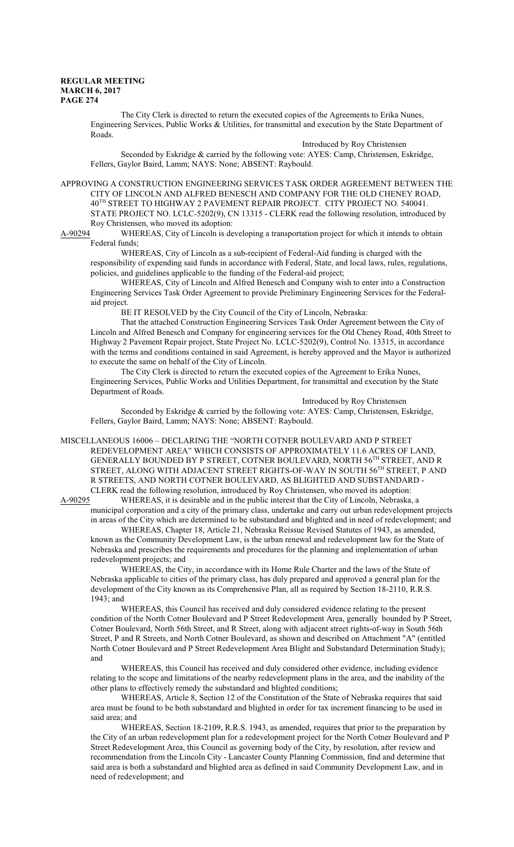The City Clerk is directed to return the executed copies of the Agreements to Erika Nunes, Engineering Services, Public Works & Utilities, for transmittal and execution by the State Department of Roads.

Introduced by Roy Christensen Seconded by Eskridge & carried by the following vote: AYES: Camp, Christensen, Eskridge, Fellers, Gaylor Baird, Lamm; NAYS: None; ABSENT: Raybould.

APPROVING A CONSTRUCTION ENGINEERING SERVICES TASK ORDER AGREEMENT BETWEEN THE CITY OF LINCOLN AND ALFRED BENESCH AND COMPANY FOR THE OLD CHENEY ROAD, 40 TH STREET TO HIGHWAY 2 PAVEMENT REPAIR PROJECT. CITY PROJECT NO. 540041. STATE PROJECT NO. LCLC-5202(9), CN 13315 - CLERK read the following resolution, introduced by Roy Christensen, who moved its adoption:

A-90294 WHEREAS, City of Lincoln is developing a transportation project for which it intends to obtain Federal funds;

WHEREAS, City of Lincoln as a sub-recipient of Federal-Aid funding is charged with the responsibility of expending said funds in accordance with Federal, State, and local laws, rules, regulations, policies, and guidelines applicable to the funding of the Federal-aid project;

WHEREAS, City of Lincoln and Alfred Benesch and Company wish to enter into a Construction Engineering Services Task Order Agreement to provide Preliminary Engineering Services for the Federalaid project.

BE IT RESOLVED by the City Council of the City of Lincoln, Nebraska:

That the attached Construction Engineering Services Task Order Agreement between the City of Lincoln and Alfred Benesch and Company for engineering services for the Old Cheney Road, 40th Street to Highway 2 Pavement Repair project, State Project No. LCLC-5202(9), Control No. 13315, in accordance with the terms and conditions contained in said Agreement, is hereby approved and the Mayor is authorized to execute the same on behalf of the City of Lincoln.

The City Clerk is directed to return the executed copies of the Agreement to Erika Nunes, Engineering Services, Public Works and Utilities Department, for transmittal and execution by the State Department of Roads.

Introduced by Roy Christensen

Seconded by Eskridge & carried by the following vote: AYES: Camp, Christensen, Eskridge, Fellers, Gaylor Baird, Lamm; NAYS: None; ABSENT: Raybould.

MISCELLANEOUS 16006 – DECLARING THE "NORTH COTNER BOULEVARD AND P STREET REDEVELOPMENT AREA" WHICH CONSISTS OF APPROXIMATELY 11.6 ACRES OF LAND, GENERALLY BOUNDED BY P STREET, COTNER BOULEVARD, NORTH 56 TH STREET, AND R STREET, ALONG WITH ADJACENT STREET RIGHTS-OF-WAY IN SOUTH 56<sup>th</sup> STREET, P AND R STREETS, AND NORTH COTNER BOULEVARD, AS BLIGHTED AND SUBSTANDARD - CLERK read the following resolution, introduced by Roy Christensen, who moved its adoption:<br>A-90295 WHEREAS, it is desirable and in the public interest that the City of Lincoln, Nebraska,

WHEREAS, it is desirable and in the public interest that the City of Lincoln, Nebraska, a municipal corporation and a city of the primary class, undertake and carry out urban redevelopment projects in areas of the City which are determined to be substandard and blighted and in need of redevelopment; and

WHEREAS, Chapter 18, Article 21, Nebraska Reissue Revised Statutes of 1943, as amended, known as the Community Development Law, is the urban renewal and redevelopment law for the State of Nebraska and prescribes the requirements and procedures for the planning and implementation of urban redevelopment projects; and

WHEREAS, the City, in accordance with its Home Rule Charter and the laws of the State of Nebraska applicable to cities of the primary class, has duly prepared and approved a general plan for the development of the City known as its Comprehensive Plan, all as required by Section 18-2110, R.R.S. 1943; and

WHEREAS, this Council has received and duly considered evidence relating to the present condition of the North Cotner Boulevard and P Street Redevelopment Area, generally bounded by P Street, Cotner Boulevard, North 56th Street, and R Street, along with adjacent street rights-of-way in South 56th Street, P and R Streets, and North Cotner Boulevard, as shown and described on Attachment "A" (entitled North Cotner Boulevard and P Street Redevelopment Area Blight and Substandard Determination Study); and

WHEREAS, this Council has received and duly considered other evidence, including evidence relating to the scope and limitations of the nearby redevelopment plans in the area, and the inability of the other plans to effectively remedy the substandard and blighted conditions;

WHEREAS, Article 8, Section 12 of the Constitution of the State of Nebraska requires that said area must be found to be both substandard and blighted in order for tax increment financing to be used in said area; and

WHEREAS, Section 18-2109, R.R.S. 1943, as amended, requires that prior to the preparation by the City of an urban redevelopment plan for a redevelopment project for the North Cotner Boulevard and P Street Redevelopment Area, this Council as governing body of the City, by resolution, after review and recommendation from the Lincoln City - Lancaster County Planning Commission, find and determine that said area is both a substandard and blighted area as defined in said Community Development Law, and in need of redevelopment; and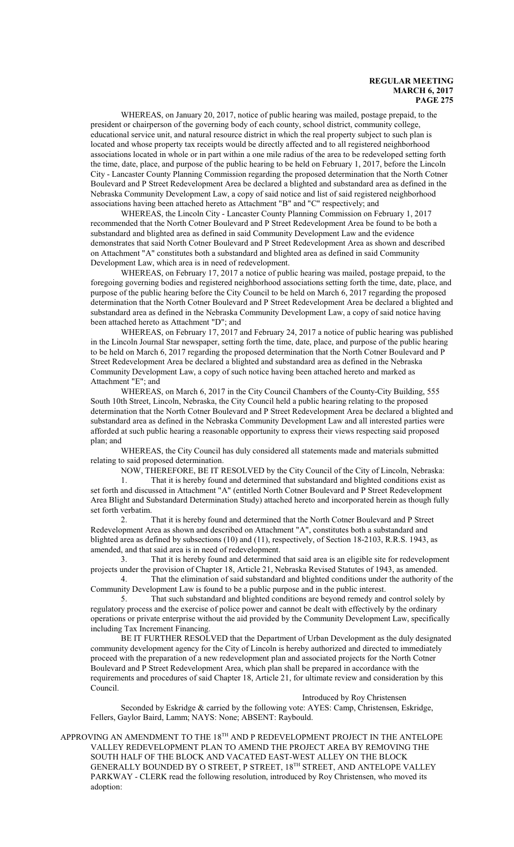WHEREAS, on January 20, 2017, notice of public hearing was mailed, postage prepaid, to the president or chairperson of the governing body of each county, school district, community college, educational service unit, and natural resource district in which the real property subject to such plan is located and whose property tax receipts would be directly affected and to all registered neighborhood associations located in whole or in part within a one mile radius of the area to be redeveloped setting forth the time, date, place, and purpose of the public hearing to be held on February 1, 2017, before the Lincoln City - Lancaster County Planning Commission regarding the proposed determination that the North Cotner Boulevard and P Street Redevelopment Area be declared a blighted and substandard area as defined in the Nebraska Community Development Law, a copy of said notice and list of said registered neighborhood associations having been attached hereto as Attachment "B" and "C" respectively; and

WHEREAS, the Lincoln City - Lancaster County Planning Commission on February 1, 2017 recommended that the North Cotner Boulevard and P Street Redevelopment Area be found to be both a substandard and blighted area as defined in said Community Development Law and the evidence demonstrates that said North Cotner Boulevard and P Street Redevelopment Area as shown and described on Attachment "A" constitutes both a substandard and blighted area as defined in said Community Development Law, which area is in need of redevelopment.

WHEREAS, on February 17, 2017 a notice of public hearing was mailed, postage prepaid, to the foregoing governing bodies and registered neighborhood associations setting forth the time, date, place, and purpose of the public hearing before the City Council to be held on March 6, 2017 regarding the proposed determination that the North Cotner Boulevard and P Street Redevelopment Area be declared a blighted and substandard area as defined in the Nebraska Community Development Law, a copy of said notice having been attached hereto as Attachment "D"; and

WHEREAS, on February 17, 2017 and February 24, 2017 a notice of public hearing was published in the Lincoln Journal Star newspaper, setting forth the time, date, place, and purpose of the public hearing to be held on March 6, 2017 regarding the proposed determination that the North Cotner Boulevard and P Street Redevelopment Area be declared a blighted and substandard area as defined in the Nebraska Community Development Law, a copy of such notice having been attached hereto and marked as Attachment "E"; and

WHEREAS, on March 6, 2017 in the City Council Chambers of the County-City Building, 555 South 10th Street, Lincoln, Nebraska, the City Council held a public hearing relating to the proposed determination that the North Cotner Boulevard and P Street Redevelopment Area be declared a blighted and substandard area as defined in the Nebraska Community Development Law and all interested parties were afforded at such public hearing a reasonable opportunity to express their views respecting said proposed plan; and

WHEREAS, the City Council has duly considered all statements made and materials submitted relating to said proposed determination.

NOW, THEREFORE, BE IT RESOLVED by the City Council of the City of Lincoln, Nebraska:

1. That it is hereby found and determined that substandard and blighted conditions exist as set forth and discussed in Attachment "A" (entitled North Cotner Boulevard and P Street Redevelopment Area Blight and Substandard Determination Study) attached hereto and incorporated herein as though fully set forth verbatim.

2. That it is hereby found and determined that the North Cotner Boulevard and P Street Redevelopment Area as shown and described on Attachment "A", constitutes both a substandard and blighted area as defined by subsections (10) and (11), respectively, of Section 18-2103, R.R.S. 1943, as amended, and that said area is in need of redevelopment.

3. That it is hereby found and determined that said area is an eligible site for redevelopment projects under the provision of Chapter 18, Article 21, Nebraska Revised Statutes of 1943, as amended. 4. That the elimination of said substandard and blighted conditions under the authority of the

Community Development Law is found to be a public purpose and in the public interest.

5. That such substandard and blighted conditions are beyond remedy and control solely by regulatory process and the exercise of police power and cannot be dealt with effectively by the ordinary operations or private enterprise without the aid provided by the Community Development Law, specifically including Tax Increment Financing.

BE IT FURTHER RESOLVED that the Department of Urban Development as the duly designated community development agency for the City of Lincoln is hereby authorized and directed to immediately proceed with the preparation of a new redevelopment plan and associated projects for the North Cotner Boulevard and P Street Redevelopment Area, which plan shall be prepared in accordance with the requirements and procedures of said Chapter 18, Article 21, for ultimate review and consideration by this Council.

Introduced by Roy Christensen

Seconded by Eskridge & carried by the following vote: AYES: Camp, Christensen, Eskridge, Fellers, Gaylor Baird, Lamm; NAYS: None; ABSENT: Raybould.

APPROVING AN AMENDMENT TO THE 18TH AND P REDEVELOPMENT PROJECT IN THE ANTELOPE VALLEY REDEVELOPMENT PLAN TO AMEND THE PROJECT AREA BY REMOVING THE SOUTH HALF OF THE BLOCK AND VACATED EAST-WEST ALLEY ON THE BLOCK GENERALLY BOUNDED BY O STREET, P STREET, 18 TH STREET, AND ANTELOPE VALLEY PARKWAY - CLERK read the following resolution, introduced by Roy Christensen, who moved its adoption: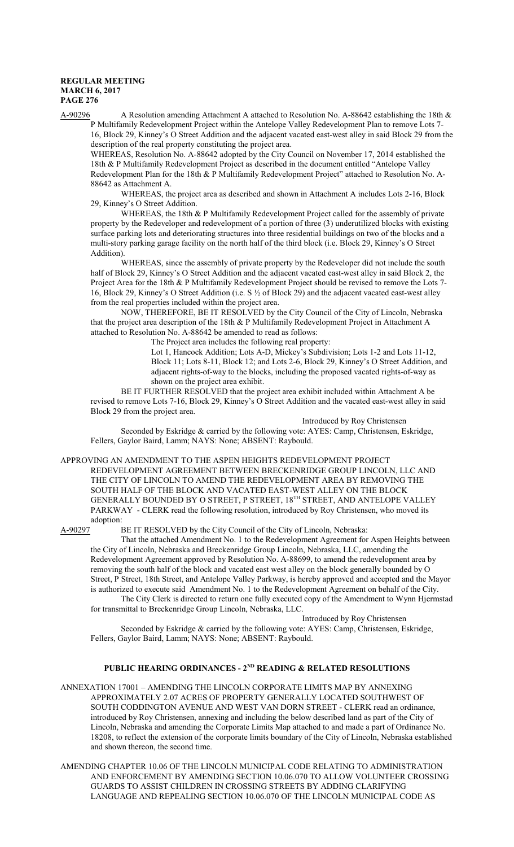A-90296 A Resolution amending Attachment A attached to Resolution No. A-88642 establishing the 18th & P Multifamily Redevelopment Project within the Antelope Valley Redevelopment Plan to remove Lots 7- 16, Block 29, Kinney's O Street Addition and the adjacent vacated east-west alley in said Block 29 from the description of the real property constituting the project area.

WHEREAS, Resolution No. A-88642 adopted by the City Council on November 17, 2014 established the 18th & P Multifamily Redevelopment Project as described in the document entitled "Antelope Valley Redevelopment Plan for the 18th & P Multifamily Redevelopment Project" attached to Resolution No. A-88642 as Attachment A.

WHEREAS, the project area as described and shown in Attachment A includes Lots 2-16, Block 29, Kinney's O Street Addition.

WHEREAS, the 18th & P Multifamily Redevelopment Project called for the assembly of private property by the Redeveloper and redevelopment of a portion of three (3) underutilized blocks with existing surface parking lots and deteriorating structures into three residential buildings on two of the blocks and a multi-story parking garage facility on the north half of the third block (i.e. Block 29, Kinney's O Street Addition).

WHEREAS, since the assembly of private property by the Redeveloper did not include the south half of Block 29, Kinney's O Street Addition and the adjacent vacated east-west alley in said Block 2, the Project Area for the 18th & P Multifamily Redevelopment Project should be revised to remove the Lots 7- 16, Block 29, Kinney's O Street Addition (i.e. S ½ of Block 29) and the adjacent vacated east-west alley from the real properties included within the project area.

NOW, THEREFORE, BE IT RESOLVED by the City Council of the City of Lincoln, Nebraska that the project area description of the 18th & P Multifamily Redevelopment Project in Attachment A attached to Resolution No. A-88642 be amended to read as follows:

The Project area includes the following real property:

Lot 1, Hancock Addition; Lots A-D, Mickey's Subdivision; Lots 1-2 and Lots 11-12, Block 11; Lots 8-11, Block 12; and Lots 2-6, Block 29, Kinney's O Street Addition, and adjacent rights-of-way to the blocks, including the proposed vacated rights-of-way as shown on the project area exhibit.

BE IT FURTHER RESOLVED that the project area exhibit included within Attachment A be revised to remove Lots 7-16, Block 29, Kinney's O Street Addition and the vacated east-west alley in said Block 29 from the project area.

Introduced by Roy Christensen

Seconded by Eskridge & carried by the following vote: AYES: Camp, Christensen, Eskridge, Fellers, Gaylor Baird, Lamm; NAYS: None; ABSENT: Raybould.

#### APPROVING AN AMENDMENT TO THE ASPEN HEIGHTS REDEVELOPMENT PROJECT

REDEVELOPMENT AGREEMENT BETWEEN BRECKENRIDGE GROUP LINCOLN, LLC AND THE CITY OF LINCOLN TO AMEND THE REDEVELOPMENT AREA BY REMOVING THE SOUTH HALF OF THE BLOCK AND VACATED EAST-WEST ALLEY ON THE BLOCK GENERALLY BOUNDED BY O STREET, P STREET, 18 TH STREET, AND ANTELOPE VALLEY PARKWAY - CLERK read the following resolution, introduced by Roy Christensen, who moved its adoption:

A-90297 BE IT RESOLVED by the City Council of the City of Lincoln, Nebraska:

That the attached Amendment No. 1 to the Redevelopment Agreement for Aspen Heights between the City of Lincoln, Nebraska and Breckenridge Group Lincoln, Nebraska, LLC, amending the Redevelopment Agreement approved by Resolution No. A-88699, to amend the redevelopment area by removing the south half of the block and vacated east west alley on the block generally bounded by O Street, P Street, 18th Street, and Antelope Valley Parkway, is hereby approved and accepted and the Mayor is authorized to execute said Amendment No. 1 to the Redevelopment Agreement on behalf of the City. The City Clerk is directed to return one fully executed copy of the Amendment to Wynn Hjermstad for transmittal to Breckenridge Group Lincoln, Nebraska, LLC.

Introduced by Roy Christensen Seconded by Eskridge & carried by the following vote: AYES: Camp, Christensen, Eskridge,

Fellers, Gaylor Baird, Lamm; NAYS: None; ABSENT: Raybould.

# **PUBLIC HEARING ORDINANCES - 2ND READING & RELATED RESOLUTIONS**

ANNEXATION 17001 – AMENDING THE LINCOLN CORPORATE LIMITS MAP BY ANNEXING APPROXIMATELY 2.07 ACRES OF PROPERTY GENERALLY LOCATED SOUTHWEST OF SOUTH CODDINGTON AVENUE AND WEST VAN DORN STREET - CLERK read an ordinance, introduced by Roy Christensen, annexing and including the below described land as part of the City of Lincoln, Nebraska and amending the Corporate Limits Map attached to and made a part of Ordinance No. 18208, to reflect the extension of the corporate limits boundary of the City of Lincoln, Nebraska established and shown thereon, the second time.

AMENDING CHAPTER 10.06 OF THE LINCOLN MUNICIPAL CODE RELATING TO ADMINISTRATION AND ENFORCEMENT BY AMENDING SECTION 10.06.070 TO ALLOW VOLUNTEER CROSSING GUARDS TO ASSIST CHILDREN IN CROSSING STREETS BY ADDING CLARIFYING LANGUAGE AND REPEALING SECTION 10.06.070 OF THE LINCOLN MUNICIPAL CODE AS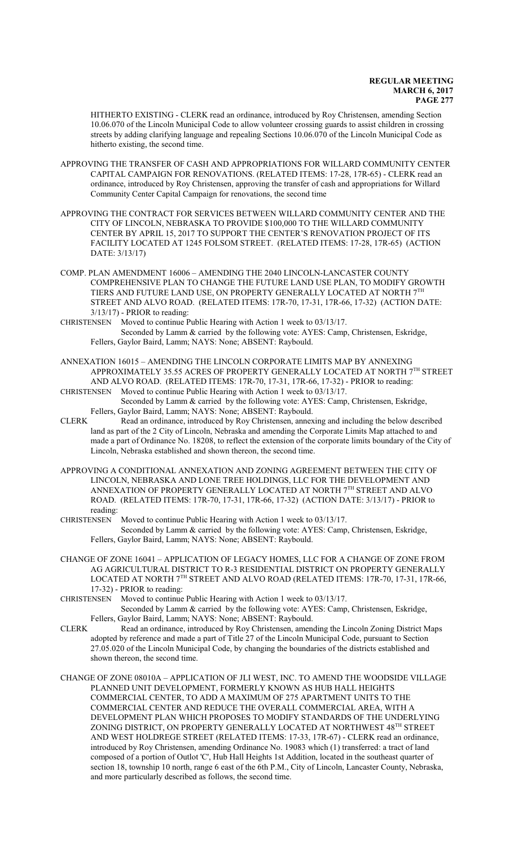HITHERTO EXISTING - CLERK read an ordinance, introduced by Roy Christensen, amending Section 10.06.070 of the Lincoln Municipal Code to allow volunteer crossing guards to assist children in crossing streets by adding clarifying language and repealing Sections 10.06.070 of the Lincoln Municipal Code as hitherto existing, the second time.

- APPROVING THE TRANSFER OF CASH AND APPROPRIATIONS FOR WILLARD COMMUNITY CENTER CAPITAL CAMPAIGN FOR RENOVATIONS. (RELATED ITEMS: 17-28, 17R-65) - CLERK read an ordinance, introduced by Roy Christensen, approving the transfer of cash and appropriations for Willard Community Center Capital Campaign for renovations, the second time
- APPROVING THE CONTRACT FOR SERVICES BETWEEN WILLARD COMMUNITY CENTER AND THE CITY OF LINCOLN, NEBRASKA TO PROVIDE \$100,000 TO THE WILLARD COMMUNITY CENTER BY APRIL 15, 2017 TO SUPPORT THE CENTER'S RENOVATION PROJECT OF ITS FACILITY LOCATED AT 1245 FOLSOM STREET. (RELATED ITEMS: 17-28, 17R-65) (ACTION DATE: 3/13/17)
- COMP. PLAN AMENDMENT 16006 AMENDING THE 2040 LINCOLN-LANCASTER COUNTY COMPREHENSIVE PLAN TO CHANGE THE FUTURE LAND USE PLAN, TO MODIFY GROWTH TIERS AND FUTURE LAND USE, ON PROPERTY GENERALLY LOCATED AT NORTH 7TH STREET AND ALVO ROAD. (RELATED ITEMS: 17R-70, 17-31, 17R-66, 17-32) (ACTION DATE: 3/13/17) - PRIOR to reading:
- CHRISTENSEN Moved to continue Public Hearing with Action 1 week to 03/13/17. Seconded by Lamm & carried by the following vote: AYES: Camp, Christensen, Eskridge, Fellers, Gaylor Baird, Lamm; NAYS: None; ABSENT: Raybould.
- ANNEXATION 16015 AMENDING THE LINCOLN CORPORATE LIMITS MAP BY ANNEXING APPROXIMATELY 35.55 ACRES OF PROPERTY GENERALLY LOCATED AT NORTH 7TH STREET AND ALVO ROAD. (RELATED ITEMS: 17R-70, 17-31, 17R-66, 17-32) - PRIOR to reading: CHRISTENSEN Moved to continue Public Hearing with Action 1 week to 03/13/17.
- Seconded by Lamm & carried by the following vote: AYES: Camp, Christensen, Eskridge, Fellers, Gaylor Baird, Lamm; NAYS: None; ABSENT: Raybould.
- CLERK Read an ordinance, introduced by Roy Christensen, annexing and including the below described land as part of the 2 City of Lincoln, Nebraska and amending the Corporate Limits Map attached to and made a part of Ordinance No. 18208, to reflect the extension of the corporate limits boundary of the City of Lincoln, Nebraska established and shown thereon, the second time.
- APPROVING A CONDITIONAL ANNEXATION AND ZONING AGREEMENT BETWEEN THE CITY OF LINCOLN, NEBRASKA AND LONE TREE HOLDINGS, LLC FOR THE DEVELOPMENT AND ANNEXATION OF PROPERTY GENERALLY LOCATED AT NORTH  $7^{\rm TH}$  STREET AND ALVO ROAD. (RELATED ITEMS: 17R-70, 17-31, 17R-66, 17-32) (ACTION DATE: 3/13/17) - PRIOR to reading:
- CHRISTENSEN Moved to continue Public Hearing with Action 1 week to 03/13/17. Seconded by Lamm & carried by the following vote: AYES: Camp, Christensen, Eskridge, Fellers, Gaylor Baird, Lamm; NAYS: None; ABSENT: Raybould.
- CHANGE OF ZONE 16041 APPLICATION OF LEGACY HOMES, LLC FOR A CHANGE OF ZONE FROM AG AGRICULTURAL DISTRICT TO R-3 RESIDENTIAL DISTRICT ON PROPERTY GENERALLY LOCATED AT NORTH 7TH STREET AND ALVO ROAD (RELATED ITEMS: 17R-70, 17-31, 17R-66, 17-32) - PRIOR to reading:
- CHRISTENSEN Moved to continue Public Hearing with Action 1 week to 03/13/17. Seconded by Lamm & carried by the following vote: AYES: Camp, Christensen, Eskridge, Fellers, Gaylor Baird, Lamm; NAYS: None; ABSENT: Raybould.
- CLERK Read an ordinance, introduced by Roy Christensen, amending the Lincoln Zoning District Maps adopted by reference and made a part of Title 27 of the Lincoln Municipal Code, pursuant to Section 27.05.020 of the Lincoln Municipal Code, by changing the boundaries of the districts established and shown thereon, the second time.
- CHANGE OF ZONE 08010A APPLICATION OF JLI WEST, INC. TO AMEND THE WOODSIDE VILLAGE PLANNED UNIT DEVELOPMENT, FORMERLY KNOWN AS HUB HALL HEIGHTS COMMERCIAL CENTER, TO ADD A MAXIMUM OF 275 APARTMENT UNITS TO THE COMMERCIAL CENTER AND REDUCE THE OVERALL COMMERCIAL AREA, WITH A DEVELOPMENT PLAN WHICH PROPOSES TO MODIFY STANDARDS OF THE UNDERLYING ZONING DISTRICT, ON PROPERTY GENERALLY LOCATED AT NORTHWEST 48<sup>TH</sup> STREET AND WEST HOLDREGE STREET (RELATED ITEMS: 17-33, 17R-67) - CLERK read an ordinance, introduced by Roy Christensen, amending Ordinance No. 19083 which (1) transferred: a tract of land composed of a portion of Outlot 'C', Hub Hall Heights 1st Addition, located in the southeast quarter of section 18, township 10 north, range 6 east of the 6th P.M., City of Lincoln, Lancaster County, Nebraska, and more particularly described as follows, the second time.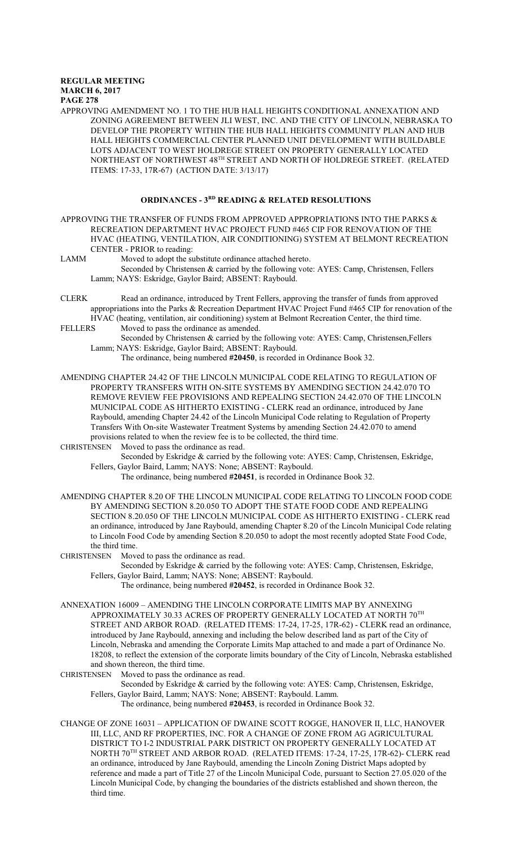APPROVING AMENDMENT NO. 1 TO THE HUB HALL HEIGHTS CONDITIONAL ANNEXATION AND ZONING AGREEMENT BETWEEN JLI WEST, INC. AND THE CITY OF LINCOLN, NEBRASKA TO DEVELOP THE PROPERTY WITHIN THE HUB HALL HEIGHTS COMMUNITY PLAN AND HUB HALL HEIGHTS COMMERCIAL CENTER PLANNED UNIT DEVELOPMENT WITH BUILDABLE LOTS ADJACENT TO WEST HOLDREGE STREET ON PROPERTY GENERALLY LOCATED NORTHEAST OF NORTHWEST  $48^{\text{\tiny{TH}}}$  STREET AND NORTH OF HOLDREGE STREET. (RELATED ITEMS: 17-33, 17R-67) (ACTION DATE: 3/13/17)

### **ORDINANCES - 3RD READING & RELATED RESOLUTIONS**

- APPROVING THE TRANSFER OF FUNDS FROM APPROVED APPROPRIATIONS INTO THE PARKS  $\&$ RECREATION DEPARTMENT HVAC PROJECT FUND #465 CIP FOR RENOVATION OF THE HVAC (HEATING, VENTILATION, AIR CONDITIONING) SYSTEM AT BELMONT RECREATION CENTER - PRIOR to reading:
- LAMM Moved to adopt the substitute ordinance attached hereto.
	- Seconded by Christensen & carried by the following vote: AYES: Camp, Christensen, Fellers Lamm; NAYS: Eskridge, Gaylor Baird; ABSENT: Raybould.
- CLERK Read an ordinance, introduced by Trent Fellers, approving the transfer of funds from approved appropriations into the Parks & Recreation Department HVAC Project Fund #465 CIP for renovation of the
- HVAC (heating, ventilation, air conditioning) system at Belmont Recreation Center, the third time. FELLERS Moved to pass the ordinance as amended.
	- Seconded by Christensen & carried by the following vote: AYES: Camp, Christensen,Fellers Lamm; NAYS: Eskridge, Gaylor Baird; ABSENT: Raybould.
		- The ordinance, being numbered **#20450**, is recorded in Ordinance Book 32.
- AMENDING CHAPTER 24.42 OF THE LINCOLN MUNICIPAL CODE RELATING TO REGULATION OF PROPERTY TRANSFERS WITH ON-SITE SYSTEMS BY AMENDING SECTION 24.42.070 TO REMOVE REVIEW FEE PROVISIONS AND REPEALING SECTION 24.42.070 OF THE LINCOLN MUNICIPAL CODE AS HITHERTO EXISTING - CLERK read an ordinance, introduced by Jane Raybould, amending Chapter 24.42 of the Lincoln Municipal Code relating to Regulation of Property Transfers With On-site Wastewater Treatment Systems by amending Section 24.42.070 to amend provisions related to when the review fee is to be collected, the third time.
- CHRISTENSEN Moved to pass the ordinance as read.
	- Seconded by Eskridge & carried by the following vote: AYES: Camp, Christensen, Eskridge, Fellers, Gaylor Baird, Lamm; NAYS: None; ABSENT: Raybould.
		- The ordinance, being numbered **#20451**, is recorded in Ordinance Book 32.
- AMENDING CHAPTER 8.20 OF THE LINCOLN MUNICIPAL CODE RELATING TO LINCOLN FOOD CODE BY AMENDING SECTION 8.20.050 TO ADOPT THE STATE FOOD CODE AND REPEALING SECTION 8.20.050 OF THE LINCOLN MUNICIPAL CODE AS HITHERTO EXISTING - CLERK read an ordinance, introduced by Jane Raybould, amending Chapter 8.20 of the Lincoln Municipal Code relating to Lincoln Food Code by amending Section 8.20.050 to adopt the most recently adopted State Food Code, the third time.
- CHRISTENSEN Moved to pass the ordinance as read.
	- Seconded by Eskridge & carried by the following vote: AYES: Camp, Christensen, Eskridge, Fellers, Gaylor Baird, Lamm; NAYS: None; ABSENT: Raybould.
		- The ordinance, being numbered **#20452**, is recorded in Ordinance Book 32.
- ANNEXATION 16009 AMENDING THE LINCOLN CORPORATE LIMITS MAP BY ANNEXING APPROXIMATELY 30.33 ACRES OF PROPERTY GENERALLY LOCATED AT NORTH  $70^{\mathrm{TH}}$ STREET AND ARBOR ROAD. (RELATED ITEMS: 17-24, 17-25, 17R-62) - CLERK read an ordinance, introduced by Jane Raybould, annexing and including the below described land as part of the City of Lincoln, Nebraska and amending the Corporate Limits Map attached to and made a part of Ordinance No. 18208, to reflect the extension of the corporate limits boundary of the City of Lincoln, Nebraska established and shown thereon, the third time.
- CHRISTENSEN Moved to pass the ordinance as read.
	- Seconded by Eskridge & carried by the following vote: AYES: Camp, Christensen, Eskridge, Fellers, Gaylor Baird, Lamm; NAYS: None; ABSENT: Raybould. Lamm.
		- The ordinance, being numbered **#20453**, is recorded in Ordinance Book 32.
- CHANGE OF ZONE 16031 APPLICATION OF DWAINE SCOTT ROGGE, HANOVER II, LLC, HANOVER III, LLC, AND RF PROPERTIES, INC. FOR A CHANGE OF ZONE FROM AG AGRICULTURAL DISTRICT TO I-2 INDUSTRIAL PARK DISTRICT ON PROPERTY GENERALLY LOCATED AT NORTH 70 TH STREET AND ARBOR ROAD. (RELATED ITEMS: 17-24, 17-25, 17R-62)- CLERK read an ordinance, introduced by Jane Raybould, amending the Lincoln Zoning District Maps adopted by reference and made a part of Title 27 of the Lincoln Municipal Code, pursuant to Section 27.05.020 of the Lincoln Municipal Code, by changing the boundaries of the districts established and shown thereon, the third time.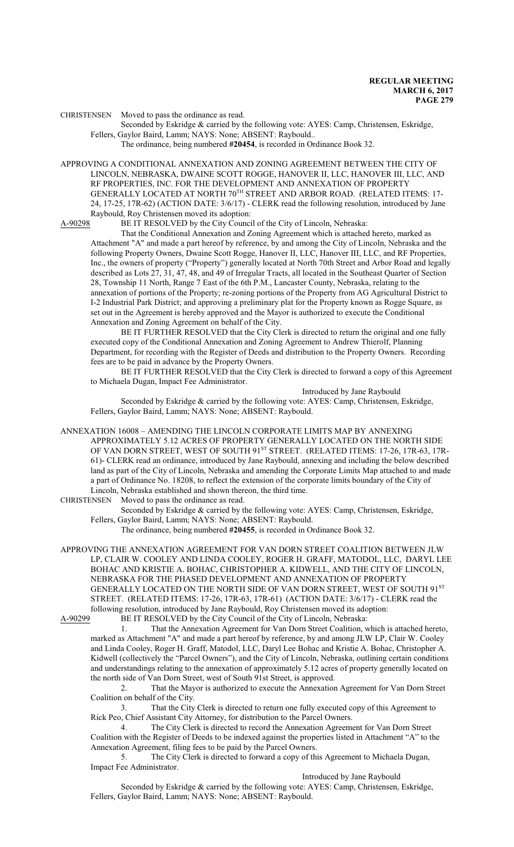CHRISTENSEN Moved to pass the ordinance as read.

Seconded by Eskridge & carried by the following vote: AYES: Camp, Christensen, Eskridge, Fellers, Gaylor Baird, Lamm; NAYS: None; ABSENT: Raybould..

The ordinance, being numbered **#20454**, is recorded in Ordinance Book 32.

APPROVING A CONDITIONAL ANNEXATION AND ZONING AGREEMENT BETWEEN THE CITY OF LINCOLN, NEBRASKA, DWAINE SCOTT ROGGE, HANOVER II, LLC, HANOVER III, LLC, AND RF PROPERTIES, INC. FOR THE DEVELOPMENT AND ANNEXATION OF PROPERTY GENERALLY LOCATED AT NORTH  $70^{\rm TH}$  STREET AND ARBOR ROAD. (RELATED ITEMS: 17-24, 17-25, 17R-62) (ACTION DATE: 3/6/17) - CLERK read the following resolution, introduced by Jane Raybould, Roy Christensen moved its adoption:

A-90298 BE IT RESOLVED by the City Council of the City of Lincoln, Nebraska:

That the Conditional Annexation and Zoning Agreement which is attached hereto, marked as Attachment "A" and made a part hereof by reference, by and among the City of Lincoln, Nebraska and the following Property Owners, Dwaine Scott Rogge, Hanover II, LLC, Hanover III, LLC, and RF Properties, Inc., the owners of property ("Property") generally located at North 70th Street and Arbor Road and legally described as Lots 27, 31, 47, 48, and 49 of Irregular Tracts, all located in the Southeast Quarter of Section 28, Township 11 North, Range 7 East of the 6th P.M., Lancaster County, Nebraska, relating to the annexation of portions of the Property; re-zoning portions of the Property from AG Agricultural District to I-2 Industrial Park District; and approving a preliminary plat for the Property known as Rogge Square, as set out in the Agreement is hereby approved and the Mayor is authorized to execute the Conditional Annexation and Zoning Agreement on behalf of the City.

BE IT FURTHER RESOLVED that the City Clerk is directed to return the original and one fully executed copy of the Conditional Annexation and Zoning Agreement to Andrew Thierolf, Planning Department, for recording with the Register of Deeds and distribution to the Property Owners. Recording fees are to be paid in advance by the Property Owners.

BE IT FURTHER RESOLVED that the City Clerk is directed to forward a copy of this Agreement to Michaela Dugan, Impact Fee Administrator.

Introduced by Jane Raybould Seconded by Eskridge & carried by the following vote: AYES: Camp, Christensen, Eskridge, Fellers, Gaylor Baird, Lamm; NAYS: None; ABSENT: Raybould.

ANNEXATION 16008 – AMENDING THE LINCOLN CORPORATE LIMITS MAP BY ANNEXING APPROXIMATELY 5.12 ACRES OF PROPERTY GENERALLY LOCATED ON THE NORTH SIDE OF VAN DORN STREET, WEST OF SOUTH 91<sup>st</sup> STREET. (RELATED ITEMS: 17-26, 17R-63, 17R-61)- CLERK read an ordinance, introduced by Jane Raybould, annexing and including the below described land as part of the City of Lincoln, Nebraska and amending the Corporate Limits Map attached to and made a part of Ordinance No. 18208, to reflect the extension of the corporate limits boundary of the City of Lincoln, Nebraska established and shown thereon, the third time.

CHRISTENSEN Moved to pass the ordinance as read.

Seconded by Eskridge & carried by the following vote: AYES: Camp, Christensen, Eskridge, Fellers, Gaylor Baird, Lamm; NAYS: None; ABSENT: Raybould.

The ordinance, being numbered **#20455**, is recorded in Ordinance Book 32.

APPROVING THE ANNEXATION AGREEMENT FOR VAN DORN STREET COALITION BETWEEN JLW LP, CLAIR W. COOLEY AND LINDA COOLEY, ROGER H. GRAFF, MATODOL, LLC, DARYL LEE BOHAC AND KRISTIE A. BOHAC, CHRISTOPHER A. KIDWELL, AND THE CITY OF LINCOLN, NEBRASKA FOR THE PHASED DEVELOPMENT AND ANNEXATION OF PROPERTY GENERALLY LOCATED ON THE NORTH SIDE OF VAN DORN STREET, WEST OF SOUTH  $91^{\mathrm{ST}}$ STREET. (RELATED ITEMS: 17-26, 17R-63, 17R-61) (ACTION DATE: 3/6/17) - CLERK read the following resolution, introduced by Jane Raybould, Roy Christensen moved its adoption:

A-90299 BE IT RESOLVED by the City Council of the City of Lincoln, Nebraska:

1. That the Annexation Agreement for Van Dorn Street Coalition, which is attached hereto, marked as Attachment "A" and made a part hereof by reference, by and among JLW LP, Clair W. Cooley and Linda Cooley, Roger H. Graff, Matodol, LLC, Daryl Lee Bohac and Kristie A. Bohac, Christopher A. Kidwell (collectively the "Parcel Owners"), and the City of Lincoln, Nebraska, outlining certain conditions and understandings relating to the annexation of approximately 5.12 acres of property generally located on the north side of Van Dorn Street, west of South 91st Street, is approved.

2. That the Mayor is authorized to execute the Annexation Agreement for Van Dorn Street Coalition on behalf of the City.

3. That the City Clerk is directed to return one fully executed copy of this Agreement to Rick Peo, Chief Assistant City Attorney, for distribution to the Parcel Owners.

4. The City Clerk is directed to record the Annexation Agreement for Van Dorn Street Coalition with the Register of Deeds to be indexed against the properties listed in Attachment "A" to the Annexation Agreement, filing fees to be paid by the Parcel Owners.

5. The City Clerk is directed to forward a copy of this Agreement to Michaela Dugan, Impact Fee Administrator.

Introduced by Jane Raybould

Seconded by Eskridge & carried by the following vote: AYES: Camp, Christensen, Eskridge, Fellers, Gaylor Baird, Lamm; NAYS: None; ABSENT: Raybould.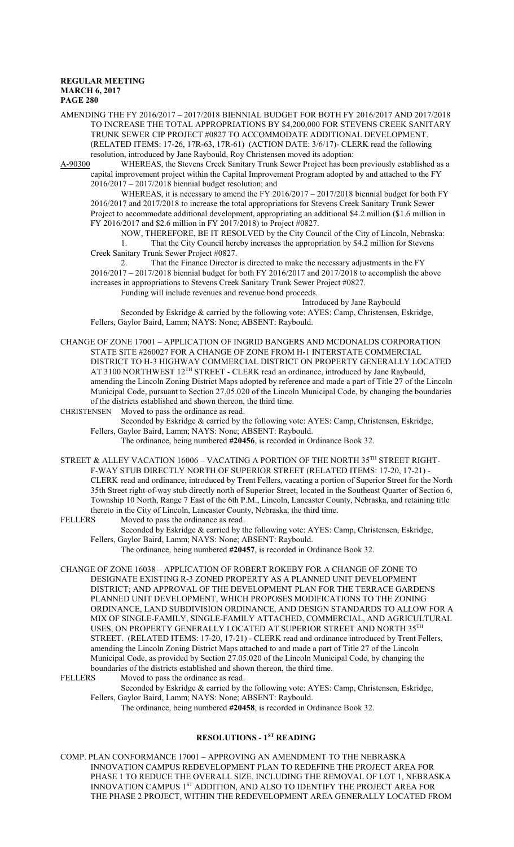AMENDING THE FY 2016/2017 – 2017/2018 BIENNIAL BUDGET FOR BOTH FY 2016/2017 AND 2017/2018 TO INCREASE THE TOTAL APPROPRIATIONS BY \$4,200,000 FOR STEVENS CREEK SANITARY TRUNK SEWER CIP PROJECT #0827 TO ACCOMMODATE ADDITIONAL DEVELOPMENT. (RELATED ITEMS: 17-26, 17R-63, 17R-61) (ACTION DATE: 3/6/17)- CLERK read the following resolution, introduced by Jane Raybould, Roy Christensen moved its adoption:

A-90300 WHEREAS, the Stevens Creek Sanitary Trunk Sewer Project has been previously established as a capital improvement project within the Capital Improvement Program adopted by and attached to the FY 2016/2017 – 2017/2018 biennial budget resolution; and

WHEREAS, it is necessary to amend the FY 2016/2017 – 2017/2018 biennial budget for both FY 2016/2017 and 2017/2018 to increase the total appropriations for Stevens Creek Sanitary Trunk Sewer Project to accommodate additional development, appropriating an additional \$4.2 million (\$1.6 million in FY 2016/2017 and \$2.6 million in FY 2017/2018) to Project #0827.

NOW, THEREFORE, BE IT RESOLVED by the City Council of the City of Lincoln, Nebraska: 1. That the City Council hereby increases the appropriation by \$4.2 million for Stevens Creek Sanitary Trunk Sewer Project #0827.

2. That the Finance Director is directed to make the necessary adjustments in the FY 2016/2017 – 2017/2018 biennial budget for both FY 2016/2017 and 2017/2018 to accomplish the above increases in appropriations to Stevens Creek Sanitary Trunk Sewer Project #0827. Funding will include revenues and revenue bond proceeds.

Introduced by Jane Raybould

Seconded by Eskridge & carried by the following vote: AYES: Camp, Christensen, Eskridge, Fellers, Gaylor Baird, Lamm; NAYS: None; ABSENT: Raybould.

CHANGE OF ZONE 17001 – APPLICATION OF INGRID BANGERS AND MCDONALDS CORPORATION STATE SITE #260027 FOR A CHANGE OF ZONE FROM H-1 INTERSTATE COMMERCIAL DISTRICT TO H-3 HIGHWAY COMMERCIAL DISTRICT ON PROPERTY GENERALLY LOCATED AT 3100 NORTHWEST 12<sup>TH</sup> STREET - CLERK read an ordinance, introduced by Jane Raybould, amending the Lincoln Zoning District Maps adopted by reference and made a part of Title 27 of the Lincoln Municipal Code, pursuant to Section 27.05.020 of the Lincoln Municipal Code, by changing the boundaries of the districts established and shown thereon, the third time.

CHRISTENSEN Moved to pass the ordinance as read.

Seconded by Eskridge & carried by the following vote: AYES: Camp, Christensen, Eskridge, Fellers, Gaylor Baird, Lamm; NAYS: None; ABSENT: Raybould.

The ordinance, being numbered **#20456**, is recorded in Ordinance Book 32.

STREET & ALLEY VACATION 16006 – VACATING A PORTION OF THE NORTH 35 $^{\text{TH}}$  STREET RIGHT-F-WAY STUB DIRECTLY NORTH OF SUPERIOR STREET (RELATED ITEMS: 17-20, 17-21) - CLERK read and ordinance, introduced by Trent Fellers, vacating a portion of Superior Street for the North 35th Street right-of-way stub directly north of Superior Street, located in the Southeast Quarter of Section 6, Township 10 North, Range 7 East of the 6th P.M., Lincoln, Lancaster County, Nebraska, and retaining title thereto in the City of Lincoln, Lancaster County, Nebraska, the third time.<br>FELLERS Moved to pass the ordinance as read.

Moved to pass the ordinance as read.

Seconded by Eskridge & carried by the following vote: AYES: Camp, Christensen, Eskridge, Fellers, Gaylor Baird, Lamm; NAYS: None; ABSENT: Raybould.

The ordinance, being numbered **#20457**, is recorded in Ordinance Book 32.

CHANGE OF ZONE 16038 – APPLICATION OF ROBERT ROKEBY FOR A CHANGE OF ZONE TO DESIGNATE EXISTING R-3 ZONED PROPERTY AS A PLANNED UNIT DEVELOPMENT DISTRICT; AND APPROVAL OF THE DEVELOPMENT PLAN FOR THE TERRACE GARDENS PLANNED UNIT DEVELOPMENT, WHICH PROPOSES MODIFICATIONS TO THE ZONING ORDINANCE, LAND SUBDIVISION ORDINANCE, AND DESIGN STANDARDS TO ALLOW FOR A MIX OF SINGLE-FAMILY, SINGLE-FAMILY ATTACHED, COMMERCIAL, AND AGRICULTURAL USES, ON PROPERTY GENERALLY LOCATED AT SUPERIOR STREET AND NORTH 35 $^{\text{TH}}$ STREET. (RELATED ITEMS: 17-20, 17-21) - CLERK read and ordinance introduced by Trent Fellers, amending the Lincoln Zoning District Maps attached to and made a part of Title 27 of the Lincoln Municipal Code, as provided by Section 27.05.020 of the Lincoln Municipal Code, by changing the boundaries of the districts established and shown thereon, the third time.<br>FELLERS Moved to pass the ordinance as read.

Moved to pass the ordinance as read.

Seconded by Eskridge & carried by the following vote: AYES: Camp, Christensen, Eskridge, Fellers, Gaylor Baird, Lamm; NAYS: None; ABSENT: Raybould.

The ordinance, being numbered **#20458**, is recorded in Ordinance Book 32.

# **RESOLUTIONS - 1ST READING**

COMP. PLAN CONFORMANCE 17001 – APPROVING AN AMENDMENT TO THE NEBRASKA INNOVATION CAMPUS REDEVELOPMENT PLAN TO REDEFINE THE PROJECT AREA FOR PHASE 1 TO REDUCE THE OVERALL SIZE, INCLUDING THE REMOVAL OF LOT 1, NEBRASKA INNOVATION CAMPUS 1<sup>ST</sup> ADDITION, AND ALSO TO IDENTIFY THE PROJECT AREA FOR THE PHASE 2 PROJECT, WITHIN THE REDEVELOPMENT AREA GENERALLY LOCATED FROM